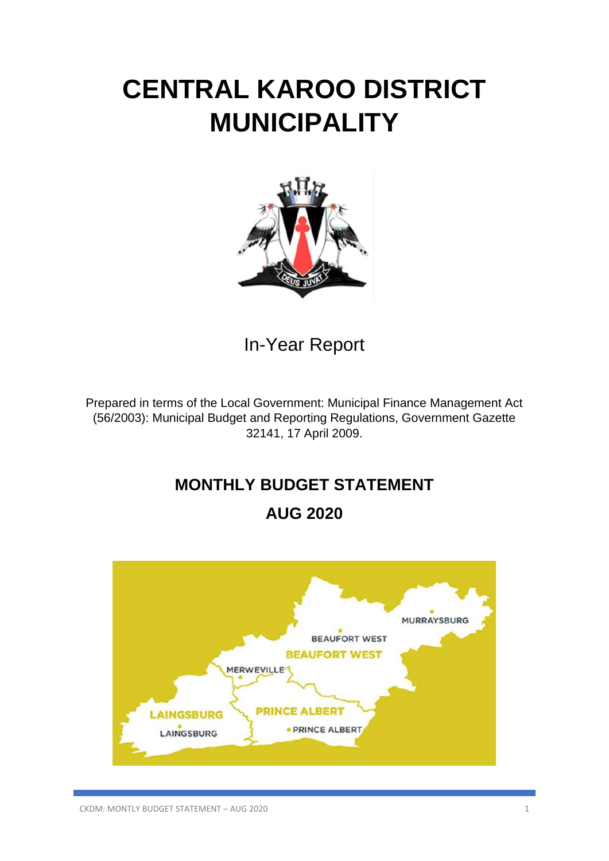# **CENTRAL KAROO DISTRICT MUNICIPALITY**



In-Year Report

Prepared in terms of the Local Government: Municipal Finance Management Act (56/2003): Municipal Budget and Reporting Regulations, Government Gazette 32141, 17 April 2009.

# **MONTHLY BUDGET STATEMENT**

# **AUG 2020**

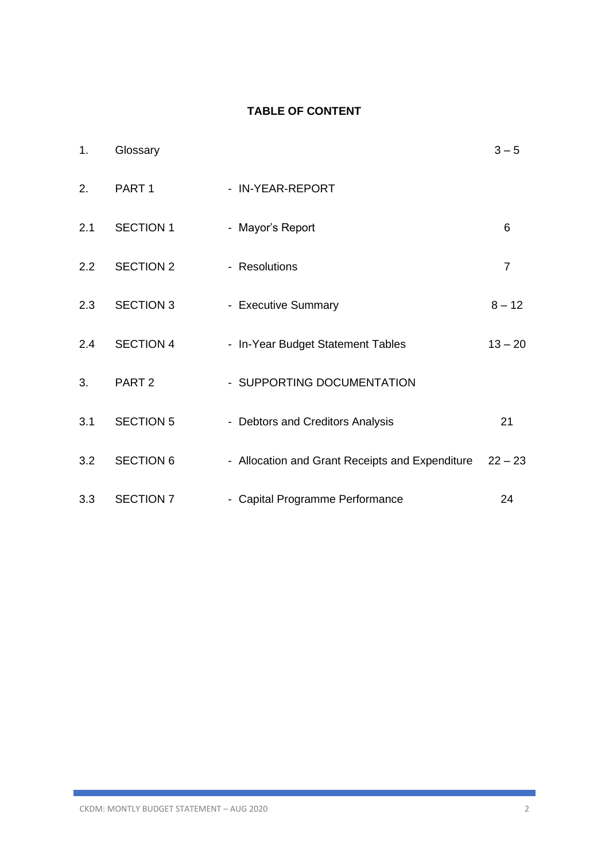# **TABLE OF CONTENT**

| 1.            | Glossary          |                                                 | $3 - 5$        |
|---------------|-------------------|-------------------------------------------------|----------------|
| 2.            | PART <sub>1</sub> | - IN-YEAR-REPORT                                |                |
| 2.1           | <b>SECTION 1</b>  | - Mayor's Report                                | 6              |
| $2.2^{\circ}$ | <b>SECTION 2</b>  | - Resolutions                                   | $\overline{7}$ |
| 2.3           | <b>SECTION 3</b>  | - Executive Summary                             | $8 - 12$       |
| 2.4           | <b>SECTION 4</b>  | - In-Year Budget Statement Tables               | $13 - 20$      |
| 3.            | PART <sub>2</sub> | - SUPPORTING DOCUMENTATION                      |                |
| 3.1           | <b>SECTION 5</b>  | - Debtors and Creditors Analysis                | 21             |
| 3.2           | <b>SECTION 6</b>  | - Allocation and Grant Receipts and Expenditure | $22 - 23$      |
| 3.3           | <b>SECTION 7</b>  | - Capital Programme Performance                 | 24             |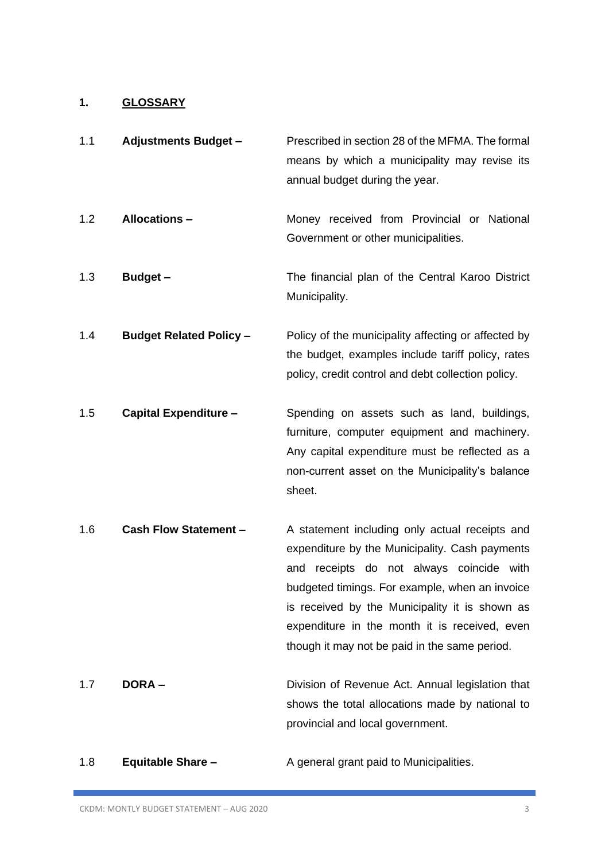# **1. GLOSSARY**

| 1.1 | <b>Adjustments Budget -</b>    | Prescribed in section 28 of the MFMA. The formal<br>means by which a municipality may revise its<br>annual budget during the year.                                                                                                                                                                                                                    |
|-----|--------------------------------|-------------------------------------------------------------------------------------------------------------------------------------------------------------------------------------------------------------------------------------------------------------------------------------------------------------------------------------------------------|
| 1.2 | <b>Allocations -</b>           | Money received from Provincial or National<br>Government or other municipalities.                                                                                                                                                                                                                                                                     |
| 1.3 | Budget-                        | The financial plan of the Central Karoo District<br>Municipality.                                                                                                                                                                                                                                                                                     |
| 1.4 | <b>Budget Related Policy -</b> | Policy of the municipality affecting or affected by<br>the budget, examples include tariff policy, rates<br>policy, credit control and debt collection policy.                                                                                                                                                                                        |
| 1.5 | <b>Capital Expenditure -</b>   | Spending on assets such as land, buildings,<br>furniture, computer equipment and machinery.<br>Any capital expenditure must be reflected as a<br>non-current asset on the Municipality's balance<br>sheet.                                                                                                                                            |
| 1.6 | <b>Cash Flow Statement -</b>   | A statement including only actual receipts and<br>expenditure by the Municipality. Cash payments<br>receipts do not always coincide with<br>and<br>budgeted timings. For example, when an invoice<br>is received by the Municipality it is shown as<br>expenditure in the month it is received, even<br>though it may not be paid in the same period. |
| 1.7 | <b>DORA-</b>                   | Division of Revenue Act. Annual legislation that<br>shows the total allocations made by national to<br>provincial and local government.                                                                                                                                                                                                               |

1.8 **Equitable Share –** A general grant paid to Municipalities.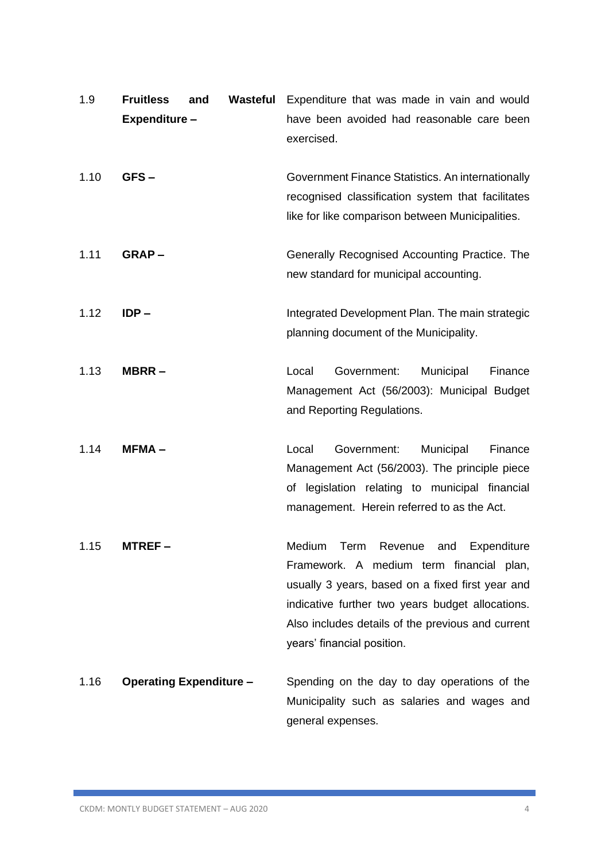| 1.9  | <b>Fruitless</b><br>Expenditure - | and                            | Wasteful | Expenditure that was made in vain and would<br>have been avoided had reasonable care been<br>exercised.                                                                                                                                                                          |
|------|-----------------------------------|--------------------------------|----------|----------------------------------------------------------------------------------------------------------------------------------------------------------------------------------------------------------------------------------------------------------------------------------|
| 1.10 | GFS-                              |                                |          | Government Finance Statistics. An internationally<br>recognised classification system that facilitates<br>like for like comparison between Municipalities.                                                                                                                       |
| 1.11 | $GRAP -$                          |                                |          | Generally Recognised Accounting Practice. The<br>new standard for municipal accounting.                                                                                                                                                                                          |
| 1.12 | $IDP -$                           |                                |          | Integrated Development Plan. The main strategic<br>planning document of the Municipality.                                                                                                                                                                                        |
| 1.13 | MBRR-                             |                                |          | Local<br>Government:<br>Municipal<br>Finance<br>Management Act (56/2003): Municipal Budget<br>and Reporting Regulations.                                                                                                                                                         |
| 1.14 | $MFMA -$                          |                                |          | Government:<br>Local<br>Municipal<br>Finance<br>Management Act (56/2003). The principle piece<br>of legislation relating to municipal financial<br>management. Herein referred to as the Act.                                                                                    |
| 1.15 | MTREF –                           |                                |          | Term Revenue and<br>Expenditure<br>Medium<br>Framework. A medium term financial plan,<br>usually 3 years, based on a fixed first year and<br>indicative further two years budget allocations.<br>Also includes details of the previous and current<br>years' financial position. |
| 1.16 |                                   | <b>Operating Expenditure -</b> |          | Spending on the day to day operations of the<br>Municipality such as salaries and wages and<br>general expenses.                                                                                                                                                                 |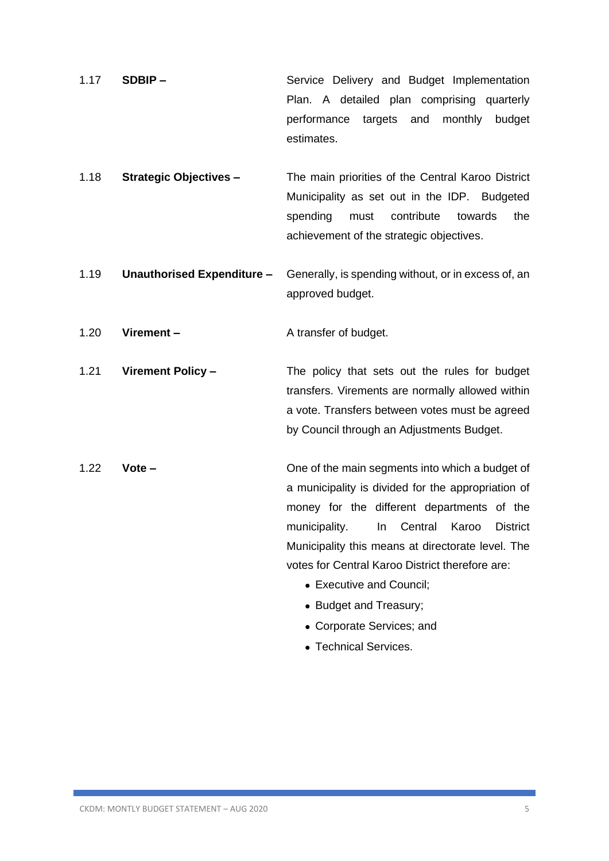- 1.17 **SDBIP –** Service Delivery and Budget Implementation Plan. A detailed plan comprising quarterly performance targets and monthly budget estimates.
- 1.18 **Strategic Objectives –** The main priorities of the Central Karoo District Municipality as set out in the IDP. Budgeted spending must contribute towards the achievement of the strategic objectives.
- 1.19 **Unauthorised Expenditure –** Generally, is spending without, or in excess of, an approved budget.

1.20 **Virement –** A transfer of budget.

1.21 **Virement Policy –** The policy that sets out the rules for budget transfers. Virements are normally allowed within a vote. Transfers between votes must be agreed by Council through an Adjustments Budget.

- 1.22 **Vote –** One of the main segments into which a budget of a municipality is divided for the appropriation of money for the different departments of the municipality. In Central Karoo District Municipality this means at directorate level. The votes for Central Karoo District therefore are:
	- Executive and Council:
	- Budget and Treasury;
	- Corporate Services; and
	- Technical Services.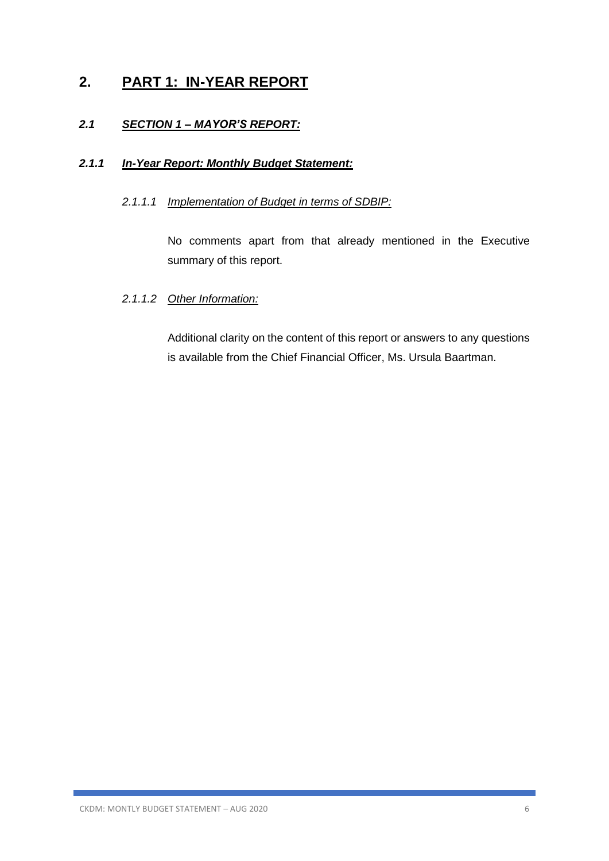# **2. PART 1: IN-YEAR REPORT**

# *2.1 SECTION 1 – MAYOR'S REPORT:*

# *2.1.1 In-Year Report: Monthly Budget Statement:*

# *2.1.1.1 Implementation of Budget in terms of SDBIP:*

No comments apart from that already mentioned in the Executive summary of this report.

# *2.1.1.2 Other Information:*

Additional clarity on the content of this report or answers to any questions is available from the Chief Financial Officer, Ms. Ursula Baartman.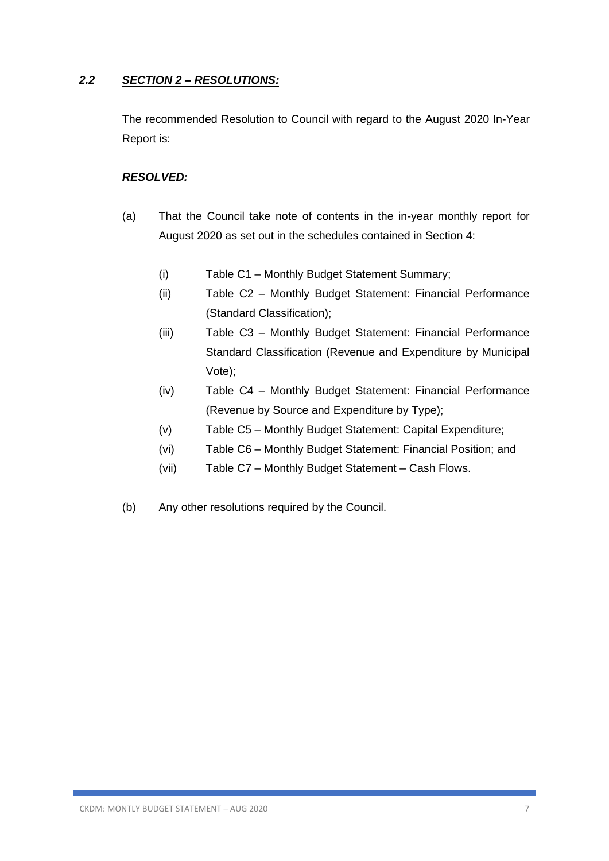# *2.2 SECTION 2 – RESOLUTIONS:*

The recommended Resolution to Council with regard to the August 2020 In-Year Report is:

# *RESOLVED:*

- (a) That the Council take note of contents in the in-year monthly report for August 2020 as set out in the schedules contained in Section 4:
	- (i) Table C1 Monthly Budget Statement Summary;
	- (ii) Table C2 Monthly Budget Statement: Financial Performance (Standard Classification);
	- (iii) Table C3 Monthly Budget Statement: Financial Performance Standard Classification (Revenue and Expenditure by Municipal Vote);
	- (iv) Table C4 Monthly Budget Statement: Financial Performance (Revenue by Source and Expenditure by Type);
	- (v) Table C5 Monthly Budget Statement: Capital Expenditure;
	- (vi) Table C6 Monthly Budget Statement: Financial Position; and
	- (vii) Table C7 Monthly Budget Statement Cash Flows.
- (b) Any other resolutions required by the Council.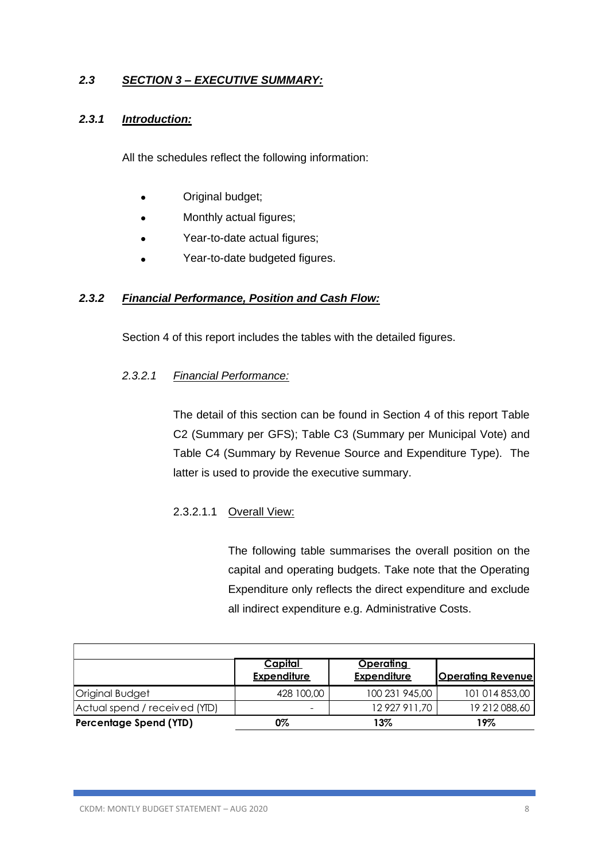# *2.3 SECTION 3 – EXECUTIVE SUMMARY:*

### *2.3.1 Introduction:*

All the schedules reflect the following information:

- Original budget;
- Monthly actual figures;
- Year-to-date actual figures;
- Year-to-date budgeted figures.

### *2.3.2 Financial Performance, Position and Cash Flow:*

Section 4 of this report includes the tables with the detailed figures.

### *2.3.2.1 Financial Performance:*

The detail of this section can be found in Section 4 of this report Table C2 (Summary per GFS); Table C3 (Summary per Municipal Vote) and Table C4 (Summary by Revenue Source and Expenditure Type). The latter is used to provide the executive summary.

# 2.3.2.1.1 Overall View:

The following table summarises the overall position on the capital and operating budgets. Take note that the Operating Expenditure only reflects the direct expenditure and exclude all indirect expenditure e.g. Administrative Costs.

|                               | <u>Capital</u><br><b>Expenditure</b> | <u>Operating</u><br><b>Expenditure</b> | <b>Operating Revenue</b> |
|-------------------------------|--------------------------------------|----------------------------------------|--------------------------|
| Original Budget               | 428 100,00                           | 100 231 945,00                         | 101 014 853,00           |
| Actual spend / received (YID) | $\overline{\phantom{a}}$             | 12 927 911,70                          | 19 212 088,60            |
| Percentage Spend (YTD)        | 0%                                   | 13%                                    | 19%                      |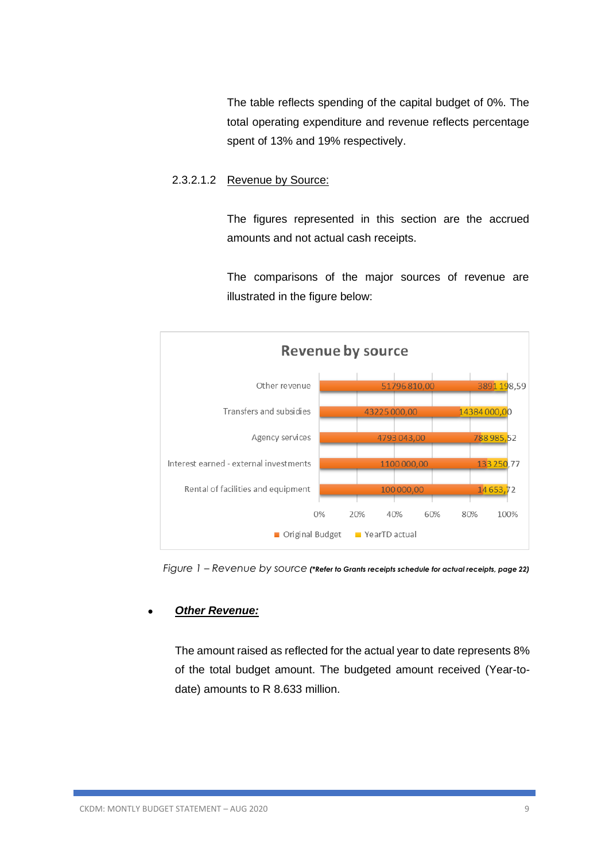The table reflects spending of the capital budget of 0%. The total operating expenditure and revenue reflects percentage spent of 13% and 19% respectively.

### 2.3.2.1.2 Revenue by Source:

The figures represented in this section are the accrued amounts and not actual cash receipts.

The comparisons of the major sources of revenue are illustrated in the figure below:



 *Figure 1 – Revenue by source (\*Refer to Grants receipts schedule for actual receipts, page 22)*

### • *Other Revenue:*

The amount raised as reflected for the actual year to date represents 8% of the total budget amount. The budgeted amount received (Year-todate) amounts to R 8.633 million.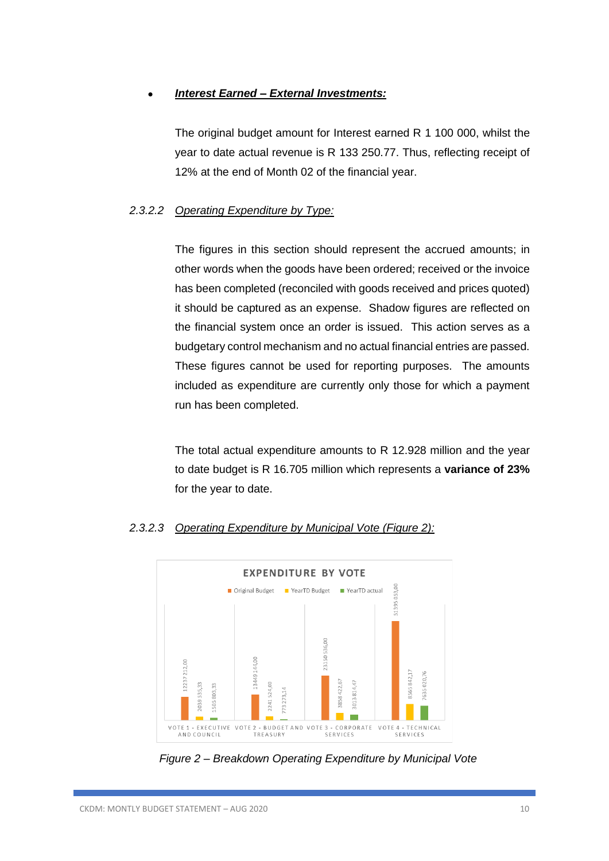# • *Interest Earned – External Investments:*

The original budget amount for Interest earned R 1 100 000, whilst the year to date actual revenue is R 133 250.77. Thus, reflecting receipt of 12% at the end of Month 02 of the financial year.

### *2.3.2.2 Operating Expenditure by Type:*

The figures in this section should represent the accrued amounts; in other words when the goods have been ordered; received or the invoice has been completed (reconciled with goods received and prices quoted) it should be captured as an expense. Shadow figures are reflected on the financial system once an order is issued. This action serves as a budgetary control mechanism and no actual financial entries are passed. These figures cannot be used for reporting purposes. The amounts included as expenditure are currently only those for which a payment run has been completed.

The total actual expenditure amounts to R 12.928 million and the year to date budget is R 16.705 million which represents a **variance of 23%** for the year to date.



# *2.3.2.3 Operating Expenditure by Municipal Vote (Figure 2):*

*Figure 2 – Breakdown Operating Expenditure by Municipal Vote*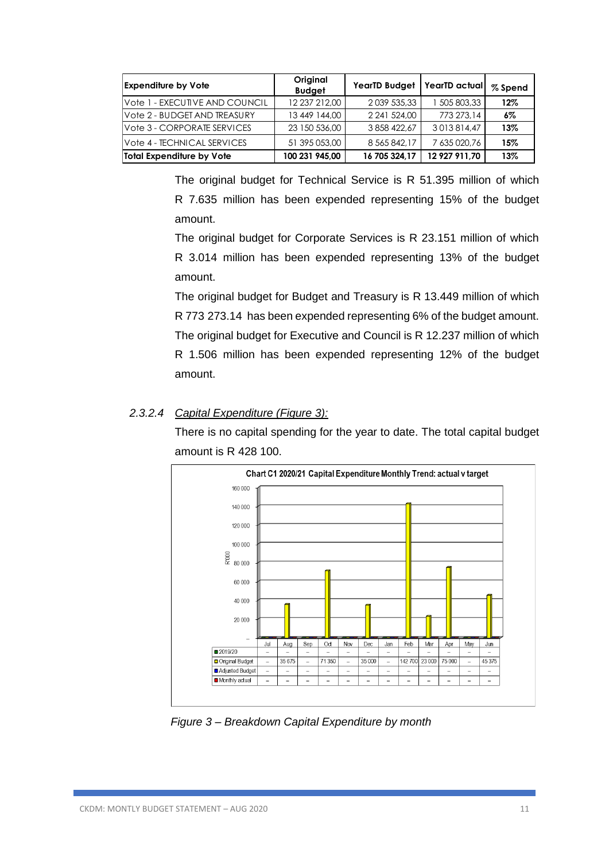| <b>Expenditure by Vote</b>     | Original<br><b>Budget</b> | YearTD Budget   YearTD actual |               | % Spend |
|--------------------------------|---------------------------|-------------------------------|---------------|---------|
| Vote 1 - EXECUTIVE AND COUNCIL | 12 237 212.00             | 2 0 39 5 35, 33               | 1 505 803,33  | 12%     |
| Vote 2 - BUDGET AND TREASURY   | 13 449 144,00             | 2 241 524.00                  | 773 273.14    | 6%      |
| Vote 3 - CORPORATE SERVICES    | 23 150 536.00             | 3 858 422.67                  | 3013814.47    | 13%     |
| Vote 4 - TECHNICAL SERVICES    | 51 395 053,00             | 8 5 6 5 8 4 2 . 1 7           | 7 635 020.76  | 15%     |
| Total Expenditure by Vote      | 100 231 945.00            | 16 705 324.17                 | 12 927 911.70 | 13%     |

The original budget for Technical Service is R 51.395 million of which R 7.635 million has been expended representing 15% of the budget amount.

The original budget for Corporate Services is R 23.151 million of which R 3.014 million has been expended representing 13% of the budget amount.

The original budget for Budget and Treasury is R 13.449 million of which R 773 273.14 has been expended representing 6% of the budget amount. The original budget for Executive and Council is R 12.237 million of which R 1.506 million has been expended representing 12% of the budget amount.

# *2.3.2.4 Capital Expenditure (Figure 3):*

There is no capital spending for the year to date. The total capital budget amount is R 428 100.



 *Figure 3 – Breakdown Capital Expenditure by month*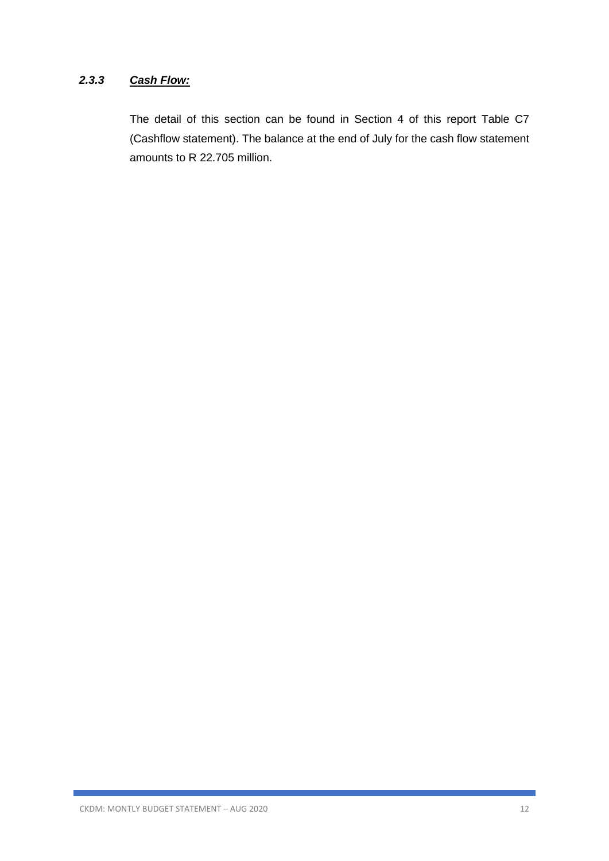# *2.3.3 Cash Flow:*

The detail of this section can be found in Section 4 of this report Table C7 (Cashflow statement). The balance at the end of July for the cash flow statement amounts to R 22.705 million.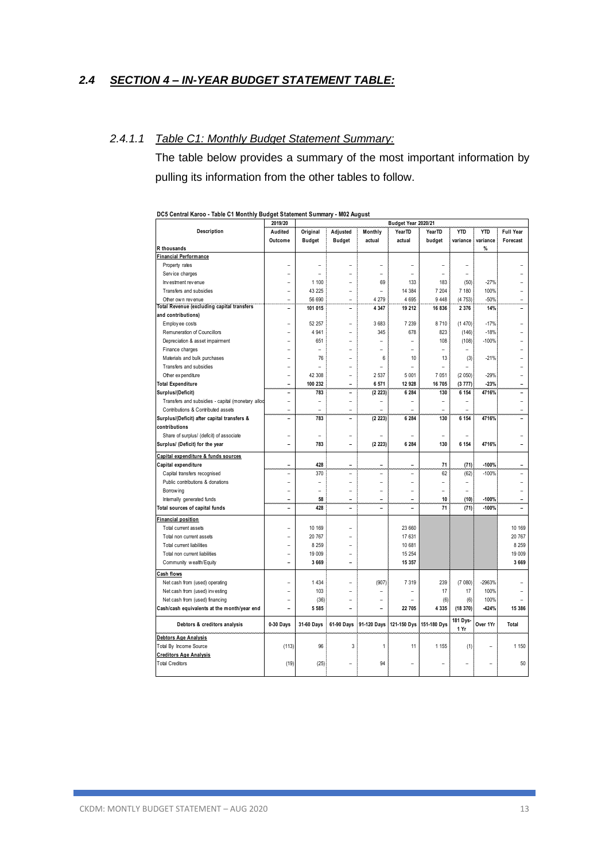### *2.4 SECTION 4 – IN-YEAR BUDGET STATEMENT TABLE:*

### *2.4.1.1 Table C1: Monthly Budget Statement Summary:*

The table below provides a summary of the most important information by pulling its information from the other tables to follow.

|                                                   | 2019/20        |                |                |                          | Budget Year 2020/21 |                    |                          |            |                          |
|---------------------------------------------------|----------------|----------------|----------------|--------------------------|---------------------|--------------------|--------------------------|------------|--------------------------|
| Description                                       | Audited        | Original       | Adjusted       | Monthly                  | <b>YearTD</b>       | Year <sub>TD</sub> | <b>YTD</b>               | <b>YTD</b> | <b>Full Year</b>         |
|                                                   | Outcome        | <b>Budget</b>  | <b>Budget</b>  | actual                   | actual              | budget             | variance                 | variance   | Forecast                 |
| R thousands                                       |                |                |                |                          |                     |                    |                          | %          |                          |
| Financial Performance                             |                |                |                |                          |                     |                    |                          |            |                          |
| Property rates                                    |                |                |                |                          |                     |                    |                          |            |                          |
| Service charges                                   |                | $\overline{a}$ |                | L.                       | ۳                   |                    | $\overline{\phantom{0}}$ |            |                          |
| Investment revenue                                |                | 1 100          |                | 69                       | 133                 | 183                | (50)                     | $-27%$     |                          |
| Transfers and subsidies                           |                | 43 225         | $\overline{a}$ | ۳                        | 14 384              | 7 204              | 7 180                    | 100%       |                          |
| Other own revenue                                 | $\overline{a}$ | 56 690         | $\overline{a}$ | 4 2 7 9                  | 4 6 9 5             | 9 4 4 8            | (4753)                   | $-50%$     |                          |
| <b>Total Revenue (excluding capital transfers</b> |                | 101 015        |                | 4 3 4 7                  | 19 212              | 16 836             | 2 3 7 6                  | 14%        |                          |
| and contributions)                                |                |                |                |                          |                     |                    |                          |            |                          |
| Employ ee costs                                   |                | 52 257         | $\overline{a}$ | 3683                     | 7 2 3 9             | 8710               | (1470)                   | $-17%$     |                          |
| Remuneration of Councillors                       |                | 4 9 4 1        |                | 345                      | 678                 | 823                | (146)                    | $-18%$     |                          |
| Depreciation & asset impairment                   |                | 651            | $\overline{a}$ | $\overline{a}$           | $\overline{a}$      | 108                | (108)                    | $-100%$    |                          |
| Finance charges                                   |                | $\overline{a}$ |                |                          |                     |                    |                          |            |                          |
| Materials and bulk purchases                      |                | 76             | ۳              | 6                        | 10                  | 13                 | (3)                      | $-21%$     |                          |
| Transfers and subsidies                           |                |                | $\overline{a}$ | $\overline{a}$           | ۳                   |                    |                          |            |                          |
| Other expenditure                                 |                | 42 308         | $\overline{a}$ | 2537                     | 5 0 0 1             | 7 0 5 1            | (2 050)                  | $-29%$     |                          |
| <b>Total Expenditure</b>                          | ۳              | 100 232        | ۳              | 6571                     | 12 928              | 16 705             | (3777)                   | $-23%$     |                          |
| Surplus/(Deficit)                                 | L              | 783            | L.             | (2 223)                  | 6 2 8 4             | 130                | 6 1 5 4                  | 4716%      |                          |
| Transfers and subsidies - capital (monetary alloc | $\overline{a}$ | $\overline{a}$ | $\overline{a}$ | L                        | ۳                   | ÷                  | ۳                        |            |                          |
| Contributions & Contributed assets                | ۳              | $\overline{a}$ | $\overline{a}$ |                          | ۳                   | ÷                  |                          |            | $\overline{a}$           |
| Surplus/(Deficit) after capital transfers &       | $\overline{a}$ | 783            | $\overline{a}$ | (2 223)                  | 6 2 8 4             | 130                | 6 154                    | 4716%      |                          |
| contributions                                     |                |                |                |                          |                     |                    |                          |            |                          |
| Share of surplus/ (deficit) of associate          |                | $\overline{a}$ | $\overline{a}$ |                          |                     |                    |                          |            |                          |
| Surplus/ (Deficit) for the year                   |                | 783            |                | (2 223)                  | 6 2 8 4             | 130                | 6 1 5 4                  | 4716%      |                          |
|                                                   |                |                |                |                          |                     |                    |                          |            |                          |
| Capital expenditure & funds sources               |                |                |                |                          |                     |                    |                          |            |                          |
| Capital expenditure                               | ۰              | 428            | -              | $\overline{\phantom{0}}$ | ۰                   | 71                 | (71)                     | $-100%$    | $\overline{\phantom{0}}$ |
| Capital transfers recognised                      |                | 370            |                |                          |                     | 62                 | (62)                     | $-100%$    |                          |
| Public contributions & donations                  | $\overline{a}$ | $\overline{a}$ | $\overline{a}$ | $\overline{a}$           | ۳                   | ۳                  | $\overline{a}$           |            |                          |
| Borrow ing                                        |                |                | $\overline{a}$ |                          |                     |                    | $\overline{a}$           |            |                          |
| Internally generated funds                        |                | 58             | $\overline{a}$ | $\overline{a}$           | L                   | 10                 | (10)                     | $-100%$    |                          |
| Total sources of capital funds                    | -              | 428            | $\overline{a}$ | $\overline{a}$           | $\overline{a}$      | 71                 | (71)                     | $-100%$    |                          |
| <b>Financial position</b>                         |                |                |                |                          |                     |                    |                          |            |                          |
| Total current assets                              |                | 10 169         |                |                          | 23 660              |                    |                          |            | 10 169                   |
| Total non current assets                          |                | 20 767         |                |                          | 17 631              |                    |                          |            | 20 767                   |
| <b>Total current liabilities</b>                  |                | 8 2 5 9        |                |                          | 10 681              |                    |                          |            | 8 2 5 9                  |
| Total non current liabilities                     | L              | 19 009         | $\overline{a}$ |                          | 15 254              |                    |                          |            | 19 009                   |
| Community wealth/Equity                           |                | 3 6 6 9        | L,             |                          | 15 357              |                    |                          |            | 3 6 6 9                  |
| Cash flows                                        |                |                |                |                          |                     |                    |                          |            |                          |
| Net cash from (used) operating                    |                | 1 4 3 4        | ۳              | (907)                    | 7 3 1 9             | 239                | (7080)                   | $-2963%$   |                          |
| Net cash from (used) investing                    |                | 103            | L,             |                          | $\overline{a}$      | 17                 | 17                       | 100%       |                          |
| Net cash from (used) financing                    |                | (36)           | $\overline{a}$ | $\overline{a}$           |                     | (6)                | (6)                      | 100%       |                          |
| Cash/cash equivalents at the month/year end       |                | 5 5 8 5        | ۳              |                          | 22 705              | 4 3 3 5            | (18 370)                 | $-424%$    | 15 386                   |
|                                                   |                |                |                |                          |                     |                    |                          |            |                          |
| Debtors & creditors analysis                      | 0-30 Days      | 31-60 Days     | 61-90 Days     | 91-120 Days              | 121-150 Dys         | 151-180 Dys        | 181 Dys-<br>1 Yr         | Over 1Yr   | Total                    |
| <b>Debtors Age Analysis</b>                       |                |                |                |                          |                     |                    |                          |            |                          |
| Total By Income Source                            | (113)          | 96             | 3              | 1                        | 11                  | 1 1 5 5            | (1)                      |            | 1 150                    |
| <b>Creditors Age Analysis</b>                     |                |                |                |                          |                     |                    |                          |            |                          |
| <b>Total Creditors</b>                            | (19)           | (25)           |                | 94                       |                     |                    |                          |            | 50                       |
|                                                   |                |                |                |                          |                     |                    |                          |            |                          |

**DC5 Central Karoo - Table C1 Monthly Budget Statement Summary - M02 August**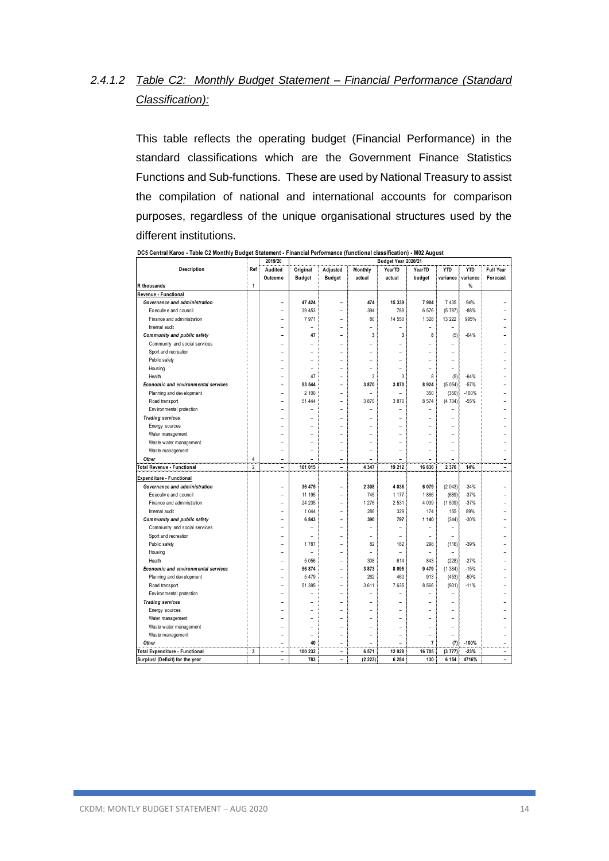# *2.4.1.2 Table C2: Monthly Budget Statement – Financial Performance (Standard Classification):*

This table reflects the operating budget (Financial Performance) in the standard classifications which are the Government Finance Statistics Functions and Sub-functions. These are used by National Treasury to assist the compilation of national and international accounts for comparison purposes, regardless of the unique organisational structures used by the different institutions.

|                                     |                | 2019/20                  |                |                          | Budget Year 2020/21      |                          |                          |                |            |                          |
|-------------------------------------|----------------|--------------------------|----------------|--------------------------|--------------------------|--------------------------|--------------------------|----------------|------------|--------------------------|
| Description                         | Ref            | Audited                  | Original       | Adjusted                 | Monthly                  | YearTD                   | YearTD                   | <b>YTD</b>     | <b>YTD</b> | <b>Full Year</b>         |
|                                     |                | Outcome                  | <b>Budget</b>  | <b>Budget</b>            | actual                   | actual                   | budget                   | variance       | variance   | Forecast                 |
| R thousands                         | $\mathbf{1}$   |                          |                |                          |                          |                          |                          |                | %          |                          |
| Revenue - Functional                |                |                          |                |                          |                          |                          |                          |                |            |                          |
| Governance and administration       |                | $\overline{a}$           | 47 424         |                          | 474                      | 15 339                   | 7904                     | 7 4 3 5        | 94%        |                          |
| Executive and council               |                | L,                       | 39 453         | $\overline{a}$           | 394                      | 789                      | 6576                     | (5787)         | $-88%$     |                          |
| Finance and administration          |                | L,                       | 7971           |                          | 80                       | 14 550                   | 1 3 2 8                  | 13 222         | 995%       |                          |
| Internal audit                      |                | $\overline{a}$           | ۳              | $\overline{a}$           | ۳                        | $\overline{a}$           | $\overline{\phantom{a}}$ | ÷              |            |                          |
| Community and public safety         |                | $\overline{a}$           | 47             | ۳                        | 3                        | 3                        | 8                        | (5)            | $-64%$     |                          |
| Community and social services       |                |                          |                |                          |                          |                          |                          |                |            |                          |
| Sport and recreation                |                | -                        |                |                          |                          |                          |                          | -              |            |                          |
| Public safety                       |                |                          |                |                          |                          |                          |                          |                |            |                          |
| Housing                             |                |                          |                |                          |                          |                          |                          |                |            |                          |
| Health                              |                |                          | 47             |                          | 3                        | 3                        | 8                        | (5)            | $-64%$     |                          |
| Economic and environmental services |                | -                        | 53 544         |                          | 3870                     | 3870                     | 8924                     | (5054)         | $-57%$     |                          |
| Planning and development            |                |                          | 2 100          |                          |                          |                          | 350                      | (350)          | $-100%$    |                          |
| Road transport                      |                |                          | 51 444         |                          | 3870                     | 3870                     | 8 5 7 4                  | (4704)         | $-55%$     |                          |
| Env ironmental protection           |                |                          |                |                          |                          |                          |                          |                |            |                          |
| <b>Trading services</b>             |                | -                        |                |                          |                          |                          |                          |                |            |                          |
| Energy sources                      |                |                          |                |                          |                          |                          |                          |                |            |                          |
| Water management                    |                |                          |                |                          |                          |                          |                          |                |            |                          |
| Waste water management              |                |                          |                |                          |                          |                          |                          |                |            |                          |
| Waste management                    |                | $\overline{a}$           | $\overline{a}$ |                          | ÷                        |                          |                          | $\overline{a}$ |            |                          |
| Other                               | 4              | $\overline{a}$           | $\overline{a}$ | $\overline{a}$           | $\overline{\phantom{0}}$ | $\overline{\phantom{0}}$ | $\overline{\phantom{0}}$ | $\overline{a}$ |            | $\overline{a}$           |
| <b>Total Revenue - Functional</b>   | $\overline{2}$ | $\overline{a}$           | 101 015        | $\overline{a}$           | 4 3 4 7                  | 19 212                   | 16 836                   | 2 3 7 6        | 14%        | $\overline{\phantom{0}}$ |
| <b>Expenditure - Functional</b>     |                |                          |                |                          |                          |                          |                          |                |            |                          |
| Governance and administration       |                | $\overline{a}$           | 36 475         | L.                       | 2 3 0 8                  | 4 0 3 6                  | 6 0 7 9                  | (2043)         | $-34%$     |                          |
| Executive and council               |                |                          | 11 195         |                          | 745                      | 1 1 7 7                  | 1866                     | (689)          | $-37%$     |                          |
| Finance and administration          |                | -                        | 24 235         |                          | 1 276                    | 2 5 3 1                  | 4 0 3 9                  | (1509)         | $-37%$     |                          |
| Internal audit                      |                |                          | 1 0 4 4        |                          | 286                      | 329                      | 174                      | 155            | 89%        |                          |
| Community and public safety         |                | $\overline{a}$           | 6843           |                          | 390                      | 797                      | 1 140                    | (344)          | $-30%$     |                          |
| Community and social services       |                | ۳                        |                |                          |                          |                          |                          | ۳              |            |                          |
| Sport and recreation                |                | ۰                        | $\equiv$       |                          |                          | ۳                        | $\overline{\phantom{a}}$ | $\equiv$       |            |                          |
| Public safety                       |                |                          | 1787           |                          | 82                       | 182                      | 298                      | (116)          | $-39%$     |                          |
| Housing                             |                |                          | ۳              |                          |                          | L,                       | ۰                        |                |            |                          |
| Health                              |                |                          | 5 0 5 6        |                          | 308                      | 614                      | 843                      | (228)          | $-27%$     |                          |
| Economic and environmental services |                |                          | 56 874         | -                        | 3873                     | 8 0 9 5                  | 9 4 7 9                  | (1384)         | $-15%$     |                          |
| Planning and development            |                |                          | 5 4 7 9        |                          | 262                      | 460                      | 913                      | (453)          | $-50%$     |                          |
| Road transport                      |                | -<br>L,                  | 51 395         |                          | 3611                     | 7 635                    | 8 5 6 6                  | (931)          | $-11%$     |                          |
|                                     |                | L,                       |                |                          |                          |                          |                          | ۳              |            |                          |
| Env ironmental protection           |                | L.                       |                |                          |                          |                          |                          |                |            |                          |
| <b>Trading services</b>             |                | -                        |                |                          |                          |                          |                          |                |            |                          |
| Energy sources                      |                | ۰                        | -              | ۰                        | ÷                        | $\overline{a}$           | ÷                        | ۳              |            |                          |
| Water management                    |                | J.                       | ۳              |                          |                          |                          |                          | ÷              |            |                          |
| Waste water management              |                | $\overline{a}$           | $\overline{a}$ | $\overline{a}$           | $\overline{a}$           | $\overline{a}$           | J.                       | $\overline{a}$ |            |                          |
| Waste management                    |                |                          |                |                          |                          |                          |                          |                |            |                          |
| Other                               | 3              |                          | 40<br>100 232  | $\overline{\phantom{0}}$ |                          |                          | $\overline{7}$<br>16 705 | (7)            | $-100%$    | $\overline{a}$           |
| Total Expenditure - Functional      |                | $\overline{\phantom{0}}$ |                |                          | 6 571                    | 12 928                   |                          | (3777)         | $-23%$     |                          |
| Surplus/ (Deficit) for the year     |                | $\overline{a}$           | 783            | $\overline{a}$           | (2 223)                  | 6 2 8 4                  | 130                      | 6 1 5 4        | 4716%      | $\overline{a}$           |

**DC5 Central Karoo - Table C2 Monthly Budget Statement - Financial Performance (functional classification) - M02 August**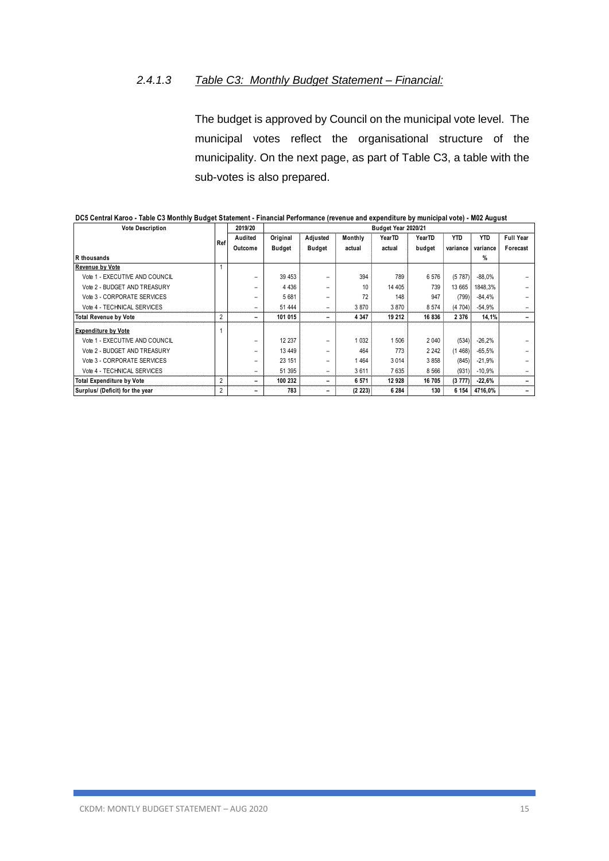# *2.4.1.3 Table C3: Monthly Budget Statement – Financial:*

The budget is approved by Council on the municipal vote level. The municipal votes reflect the organisational structure of the municipality. On the next page, as part of Table C3, a table with the sub-votes is also prepared.

| <b>Vote Description</b>          |                | 2019/20 |               |                          |         | Budget Year 2020/21 |               |          |            |                  |
|----------------------------------|----------------|---------|---------------|--------------------------|---------|---------------------|---------------|----------|------------|------------------|
|                                  |                | Audited | Original      | Adjusted                 | Monthly | YearTD              | <b>YearTD</b> | YTD      | <b>YTD</b> | <b>Full Year</b> |
|                                  | Ref            | Outcome | <b>Budget</b> | <b>Budget</b>            | actual  | actual              | budget        | variance | variance   | Forecast         |
| R thousands                      |                |         |               |                          |         |                     |               |          | %          |                  |
| <b>Revenue by Vote</b>           |                |         |               |                          |         |                     |               |          |            |                  |
| Vote 1 - EXECUTIVE AND COUNCIL   |                |         | 39 453        |                          | 394     | 789                 | 6576          | (5787)   | $-88.0\%$  |                  |
| Vote 2 - BUDGET AND TREASURY     |                |         | 4 4 3 6       | -                        | 10      | 14 405              | 739           | 13 665   | 1848,3%    |                  |
| Vote 3 - CORPORATE SERVICES      |                |         | 5 681         | $\overline{\phantom{0}}$ | 72      | 148                 | 947           | (799)    | $-84.4%$   |                  |
| Vote 4 - TECHNICAL SERVICES      |                |         | 51 444        | -                        | 3870    | 3870                | 8 5 7 4       | (4704)   | -54,9%     |                  |
| <b>Total Revenue by Vote</b>     | $\overline{2}$ |         | 101 015       | $\overline{\phantom{0}}$ | 4 3 4 7 | 19 212              | 16836         | 2 3 7 6  | 14,1%      |                  |
| <b>Expenditure by Vote</b>       |                |         |               |                          |         |                     |               |          |            |                  |
| Vote 1 - EXECUTIVE AND COUNCIL   |                |         | 12 237        | -                        | 1 0 3 2 | 1 506               | 2 0 4 0       | (534)    | $-26,2%$   |                  |
| Vote 2 - BUDGET AND TREASURY     |                |         | 13 4 49       |                          | 464     | 773                 | 2 2 4 2       | 1468     | $-65.5%$   |                  |
| Vote 3 - CORPORATE SERVICES      |                |         | 23 151        |                          | 464     | 3 0 14              | 3858          | (845)    | $-21,9%$   |                  |
| Vote 4 - TECHNICAL SERVICES      |                |         | 51 395        | -                        | 3611    | 7635                | 8 5 6 6       | (931)    | $-10.9%$   |                  |
| <b>Total Expenditure by Vote</b> | $\overline{2}$ |         | 100 232       | -                        | 6 571   | 12 928              | 16 705        | (3777)   | $-22.6%$   |                  |
| Surplus/ (Deficit) for the year  | 2              |         | 783           | -                        | (2 223) | 6 2 8 4             | 130           | 6 154    | 4716.0%    |                  |

**DC5 Central Karoo - Table C3 Monthly Budget Statement - Financial Performance (revenue and expenditure by municipal vote) - M02 August**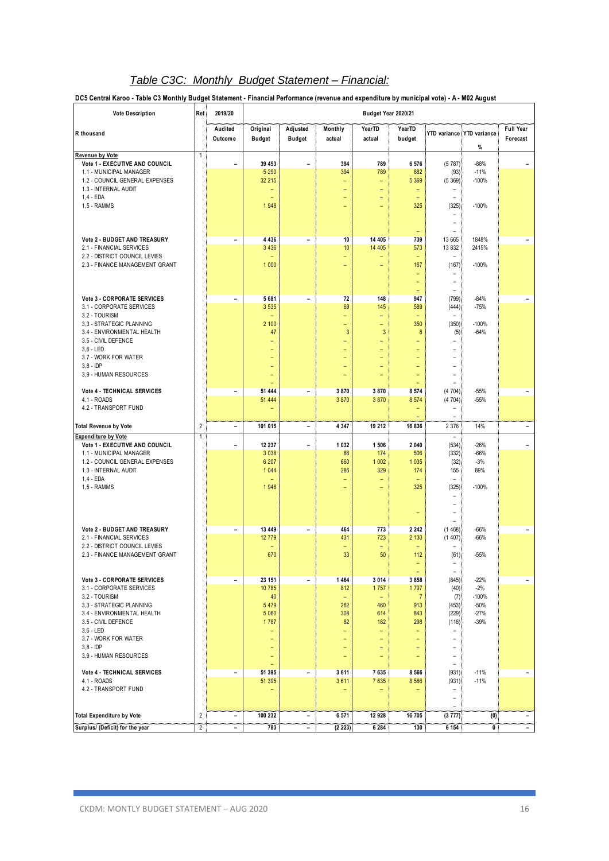# *Table C3C: Monthly Budget Statement – Financial:*

**DC5 Central Karoo - Table C3 Monthly Budget Statement - Financial Performance (revenue and expenditure by municipal vote) - A - M02 August**

| <b>Vote Description</b>                                         | Ref            | 2019/20                  |                               |                              |                               | Budget Year 2020/21                           |                         |                                     |                                   |                              |
|-----------------------------------------------------------------|----------------|--------------------------|-------------------------------|------------------------------|-------------------------------|-----------------------------------------------|-------------------------|-------------------------------------|-----------------------------------|------------------------------|
| R thousand                                                      |                | Audited<br>Outcome       | Original<br><b>Budget</b>     | Adjusted<br><b>Budget</b>    | Monthly<br>actual             | <b>YearTD</b><br>actual                       | <b>YearTD</b><br>budget |                                     | YTD variance YTD variance<br>$\%$ | <b>Full Year</b><br>Forecast |
| <b>Revenue by Vote</b><br>Vote 1 - EXECUTIVE AND COUNCIL        | 1              |                          | 39 453                        |                              | 394                           | 789                                           | 6 576                   | (5787)                              | $-88%$                            |                              |
| 1.1 - MUNICIPAL MANAGER                                         |                | -                        | 5 2 9 0                       | $\overline{a}$               | 394                           | 789                                           | 882                     | (93)                                | $-11%$                            |                              |
| 1.2 - COUNCIL GENERAL EXPENSES                                  |                |                          | 32 215                        |                              | Ξ                             | Ξ                                             | 5 3 6 9                 | (5369)                              | $-100%$                           |                              |
| 1.3 - INTERNAL AUDIT<br>$1.4 - EDA$                             |                |                          | $\qquad \qquad -$             |                              | -<br>-                        | $\overline{\phantom{0}}$<br>-                 | ٠                       | $\overline{\phantom{0}}$            |                                   |                              |
| 1,5 - RAMMS                                                     |                |                          | 1948                          |                              | -                             | ٠                                             | 325                     | (325)                               | $-100%$                           |                              |
|                                                                 |                |                          |                               |                              |                               |                                               |                         |                                     |                                   |                              |
|                                                                 |                |                          |                               |                              |                               |                                               |                         | $\equiv$                            |                                   |                              |
| Vote 2 - BUDGET AND TREASURY                                    |                | $\overline{a}$           | 4 4 3 6                       | $\overline{\phantom{a}}$     | 10                            | 14 40 5                                       | 739                     | 13 665                              | 1848%                             | $\overline{\phantom{a}}$     |
| 2.1 - FINANCIAL SERVICES                                        |                |                          | 3 4 3 6                       |                              | 10                            | 14 40 5                                       | 573                     | 13 832                              | 2415%                             |                              |
| 2.2 - DISTRICT COUNCIL LEVIES<br>2.3 - FINANCE MANAGEMENT GRANT |                |                          | 1 0 0 0                       |                              | -<br>-                        | -                                             | ٠<br>167                | ۰<br>(167)                          | $-100%$                           |                              |
|                                                                 |                |                          |                               |                              |                               |                                               | ٠                       | -                                   |                                   |                              |
|                                                                 |                |                          |                               |                              |                               |                                               | Ξ                       | $\overline{\phantom{0}}$            |                                   |                              |
| <b>Vote 3 - CORPORATE SERVICES</b>                              |                | -                        | 5 681                         | $\qquad \qquad \blacksquare$ | 72                            | 148                                           | ۳<br>947                | $\overline{\phantom{0}}$<br>(799)   | $-84%$                            | -                            |
| 3.1 - CORPORATE SERVICES                                        |                |                          | 3 5 3 5                       |                              | 69                            | 145                                           | 589                     | (444)                               | $-75%$                            |                              |
| 3.2 - TOURISM<br>3,3 - STRATEGIC PLANNING                       |                |                          |                               |                              | -                             | $\overline{\phantom{0}}$                      | 350                     |                                     |                                   |                              |
| 3.4 - ENVIRONMENTAL HEALTH                                      |                |                          | 2 100<br>47                   |                              | ۳<br>3                        | $\overline{\phantom{0}}$<br>3                 | 8                       | (350)<br>(5)                        | $-100%$<br>$-64%$                 |                              |
| 3.5 - CIVIL DEFENCE                                             |                |                          | ۳                             |                              | ÷,                            | $\overline{\phantom{0}}$                      | ۳                       | L,                                  |                                   |                              |
| $3,6 - LED$<br>3.7 - WORK FOR WATER                             |                |                          | ÷<br>$\overline{\phantom{0}}$ |                              | Ξ<br>$\overline{\phantom{0}}$ | $\qquad \qquad -$<br>$\overline{\phantom{0}}$ | ٠                       | $\overline{\phantom{a}}$<br>-       |                                   |                              |
| $3.8 - IDP$                                                     |                |                          | ۳                             |                              | Ξ                             | ۳                                             | ٠                       | -                                   |                                   |                              |
| 3,9 - HUMAN RESOURCES                                           |                |                          | ۳                             |                              | -                             |                                               |                         |                                     |                                   |                              |
| <b>Vote 4 - TECHNICAL SERVICES</b>                              |                | -                        | $\equiv$<br>51 444            | $\qquad \qquad \blacksquare$ | 3870                          | 3870                                          | 8 5 7 4                 | (4704)                              | $-55%$                            | $\overline{\phantom{a}}$     |
| 4.1 - ROADS                                                     |                |                          | 51 444                        |                              | 3870                          | 3870                                          | 8 5 7 4                 | (4704)                              | $-55%$                            |                              |
| 4.2 - TRANSPORT FUND                                            |                |                          | ۳                             |                              |                               |                                               |                         | $\equiv$                            |                                   |                              |
| <b>Total Revenue by Vote</b>                                    | $\sqrt{2}$     | -                        | 101 015                       | $\overline{\phantom{a}}$     | 4 3 4 7                       | 19 212                                        | 16 836                  | $\overline{\phantom{0}}$<br>2 3 7 6 | 14%                               | $\qquad \qquad -$            |
| <b>Expenditure by Vote</b>                                      | $\overline{1}$ |                          |                               |                              |                               |                                               |                         | $\overline{\phantom{a}}$            |                                   |                              |
| Vote 1 - EXECUTIVE AND COUNCIL<br>1.1 - MUNICIPAL MANAGER       |                | -                        | 12 237<br>3 0 38              | $\overline{\phantom{0}}$     | 1 0 3 2<br>86                 | 1 506<br>174                                  | 2 0 4 0<br>506          | (534)<br>(332)                      | $-26%$<br>$-66%$                  | -                            |
| 1.2 - COUNCIL GENERAL EXPENSES                                  |                |                          | 6 207                         |                              | 660                           | 1 0 0 2                                       | 1 0 3 5                 | (32)                                | $-3%$                             |                              |
| 1.3 - INTERNAL AUDIT                                            |                |                          | 1 0 4 4                       |                              | 286                           | 329                                           | 174                     | 155                                 | 89%                               |                              |
| 1,4 - EDA<br>1,5 - RAMMS                                        |                |                          | Ē.<br>1948                    |                              | Ξ<br>Ξ                        | $\overline{\phantom{0}}$<br>-                 | 325                     | ÷,<br>(325)                         | $-100%$                           |                              |
|                                                                 |                |                          |                               |                              |                               |                                               |                         | ۰                                   |                                   |                              |
|                                                                 |                |                          |                               |                              |                               |                                               |                         |                                     |                                   |                              |
|                                                                 |                |                          |                               |                              |                               |                                               |                         | ۰                                   |                                   |                              |
| Vote 2 - BUDGET AND TREASURY                                    |                | $\overline{\phantom{0}}$ | 13 449                        | $\qquad \qquad \blacksquare$ | 464                           | 773                                           | 2 2 4 2                 | (1468)                              | $-66%$                            | $\overline{\phantom{a}}$     |
| 2.1 - FINANCIAL SERVICES                                        |                |                          | 12 779                        |                              | 431                           | 723                                           | 2 1 3 0                 | (1407)                              | $-66%$                            |                              |
| 2.2 - DISTRICT COUNCIL LEVIES<br>2.3 - FINANCE MANAGEMENT GRANT |                |                          | Ē.<br>670                     |                              | Ξ<br>33                       | ۳<br>50                                       | 112                     | (61)                                | $-55%$                            |                              |
|                                                                 |                |                          |                               |                              |                               |                                               | -                       | $\overline{\phantom{a}}$            |                                   |                              |
| <b>Vote 3 - CORPORATE SERVICES</b>                              |                | $\overline{\phantom{a}}$ | 23 151                        | $\overline{\phantom{a}}$     | 1 4 6 4                       | 3 0 1 4                                       | ۳<br>3 8 5 8            | ۰<br>(845)                          | $-22%$                            | $\overline{\phantom{a}}$     |
| 3.1 - CORPORATE SERVICES                                        |                |                          | 10 785                        |                              | 812                           | 1757                                          | 1797                    | (40)                                | $-2%$                             |                              |
| 3.2 - TOURISM                                                   |                |                          | 40                            |                              | ۳                             |                                               | $\overline{7}$          | (7)                                 | $-100%$                           |                              |
| 3,3 - STRATEGIC PLANNING<br>3.4 - ENVIRONMENTAL HEALTH          |                |                          | 5 4 7 9<br>5 0 6 0            |                              | 262<br>308                    | 460<br>614                                    | 913<br>843              | (453)<br>(229)                      | $-50%$<br>$-27%$                  |                              |
| 3.5 - CIVIL DEFENCE                                             |                |                          | 1787                          |                              | 82                            | 182                                           | 298                     | (116)                               | $-39%$                            |                              |
| $3,6 - LED$<br>3.7 - WORK FOR WATER                             |                |                          | ۰<br>۳                        |                              | -<br>÷,                       | $\equiv$<br>۳                                 | ÷<br>۳                  | -<br>$\overline{\phantom{0}}$       |                                   |                              |
| $3.8 - IDP$                                                     |                |                          | $\qquad \qquad -$             |                              | $\overline{\phantom{0}}$      | $\qquad \qquad -$                             | ٠                       | $\overline{\phantom{0}}$            |                                   |                              |
| 3,9 - HUMAN RESOURCES                                           |                |                          | ۰                             |                              | $\overline{\phantom{0}}$      | $\qquad \qquad -$                             | $\qquad \qquad -$       | $\qquad \qquad -$                   |                                   |                              |
| Vote 4 - TECHNICAL SERVICES                                     |                | -                        | $\equiv$<br>51 395            | $\overline{\phantom{a}}$     | 3611                          | 7635                                          | 8 5 6 6                 | $\overline{\phantom{0}}$<br>(931)   | $-11%$                            | $\overline{\phantom{a}}$     |
| 4.1 - ROADS                                                     |                |                          | 51 395                        |                              | 3611                          | 7635                                          | 8 5 6 6                 | (931)                               | $-11%$                            |                              |
| 4.2 - TRANSPORT FUND                                            |                |                          | $\qquad \qquad -$             |                              | $\overline{\phantom{0}}$      | $\qquad \qquad -$                             |                         | $\overline{\phantom{0}}$            |                                   |                              |
|                                                                 |                |                          |                               |                              |                               |                                               |                         | $\overline{\phantom{0}}$            |                                   |                              |
| <b>Total Expenditure by Vote</b>                                | $\overline{2}$ | -                        | 100 232                       | $\overline{\phantom{a}}$     | 6 571                         | 12 928                                        | 16 705                  | (3777)                              | (0)                               | $\overline{\phantom{a}}$     |
| Surplus/ (Deficit) for the year                                 | $\overline{2}$ | Ξ.                       | 783                           | $\overline{\phantom{a}}$     | (2 223)                       | 6 2 8 4                                       | 130                     | 6 154                               | 0                                 | $ \,$                        |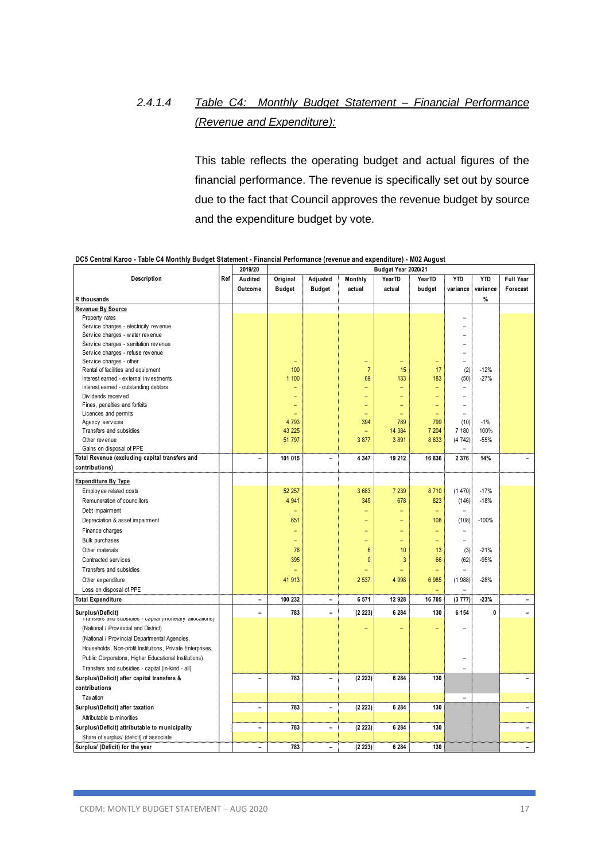# *2.4.1.4 Table C4: Monthly Budget Statement – Financial Performance (Revenue and Expenditure):*

This table reflects the operating budget and actual figures of the financial performance. The revenue is specifically set out by source due to the fact that Council approves the revenue budget by source and the expenditure budget by vote.

|                                                           |     | 2019/20                  |               |                          |                | Budget Year 2020/21 |         |                |              |                  |
|-----------------------------------------------------------|-----|--------------------------|---------------|--------------------------|----------------|---------------------|---------|----------------|--------------|------------------|
| Description                                               | Ref | Audited                  | Original      | Adjusted                 | Monthly        | YearTD              | YearTD  | <b>YTD</b>     | <b>YTD</b>   | <b>Full Year</b> |
|                                                           |     | Outcome                  | <b>Budget</b> | <b>Budget</b>            | actual         | actual              | budget  | variance       | variance     | Forecast         |
| R thousands                                               |     |                          |               |                          |                |                     |         |                | %            |                  |
| Revenue By Source                                         |     |                          |               |                          |                |                     |         |                |              |                  |
| Property rates                                            |     |                          |               |                          |                |                     |         |                |              |                  |
| Service charges - electricity revenue                     |     |                          |               |                          |                |                     |         |                |              |                  |
| Service charges - water revenue                           |     |                          |               |                          |                |                     |         |                |              |                  |
| Service charges - sanitation revenue                      |     |                          |               |                          |                |                     |         |                |              |                  |
| Service charges - refuse revenue                          |     |                          |               |                          |                |                     |         |                |              |                  |
| Service charges - other                                   |     |                          |               |                          |                |                     |         | $\overline{a}$ |              |                  |
| Rental of facilities and equipment                        |     |                          | 100           |                          | $\overline{7}$ | 15                  | 17      | (2)            | $-12%$       |                  |
| Interest earned - external investments                    |     |                          | 1 100         |                          | 69             | 133                 | 183     | (50)           | $-27%$       |                  |
| Interest earned - outstanding debtors                     |     |                          |               |                          | ۳              | ۳                   | -       |                |              |                  |
| Dividends received                                        |     |                          | ۳             |                          | ۳              |                     | ۳       | $\overline{a}$ |              |                  |
| Fines, penalties and forfeits                             |     |                          |               |                          |                |                     | ۳       | -              |              |                  |
| Licences and permits                                      |     |                          |               |                          | ۳              |                     | ۳       | $\overline{a}$ |              |                  |
| Agency services                                           |     |                          | 4 7 9 3       |                          | 394            | 789                 | 799     | (10)           | $-1%$        |                  |
| Transfers and subsidies                                   |     |                          | 43 225        |                          |                | 14 384              | 7 204   | 7 180          | 100%         |                  |
| Other revenue                                             |     |                          | 51 797        |                          | 3877           | 3891                | 8 6 3 3 | (4742)         | $-55%$       |                  |
| Gains on disposal of PPE                                  |     |                          |               |                          |                |                     |         | ÷              |              |                  |
| Total Revenue (excluding capital transfers and            |     | $\overline{a}$           | 101 015       | $\overline{a}$           | 4 3 4 7        | 19 212              | 16 836  | 2 3 7 6        | 14%          |                  |
| contributions)                                            |     |                          |               |                          |                |                     |         |                |              |                  |
| <b>Expenditure By Type</b>                                |     |                          |               |                          |                |                     |         |                |              |                  |
| Employ ee related costs                                   |     |                          | 52 257        |                          | 3683           | 7 2 3 9             | 8710    | (1470)         | $-17%$       |                  |
| Remuneration of councillors                               |     |                          | 4 9 4 1       |                          | 345            | 678                 | 823     | (146)          | $-18%$       |                  |
| Debt impairment                                           |     |                          | ۳             |                          |                |                     | ÷,      | $\equiv$       |              |                  |
| Depreciation & asset impairment                           |     |                          | 651           |                          |                |                     | 108     | (108)          | $-100%$      |                  |
| Finance charges                                           |     |                          |               |                          |                |                     | ۳       |                |              |                  |
| <b>Bulk purchases</b>                                     |     |                          | Ξ             |                          |                |                     | L,      | $\overline{a}$ |              |                  |
| Other materials                                           |     |                          | 76            |                          | 6              | 10                  | 13      |                | $-21%$       |                  |
|                                                           |     |                          |               |                          |                |                     |         | (3)            |              |                  |
| Contracted services                                       |     |                          | 395           |                          | $\overline{0}$ | 3                   | 66      | (62)           | $-95%$       |                  |
| Transfers and subsidies                                   |     |                          |               |                          | ۳              | L,                  | ÷,      |                |              |                  |
| Other expenditure                                         |     |                          | 41 913        |                          | 2 537          | 4 9 9 8             | 6 985   | (1988)         | $-28%$       |                  |
| Loss on disposal of PPE                                   |     |                          |               |                          |                |                     |         | $\overline{a}$ |              |                  |
| <b>Total Expenditure</b>                                  |     | $\overline{a}$           | 100 232       | $\overline{a}$           | 6 571          | 12 928              | 16 705  | (3777)         | $-23%$       |                  |
| Surplus/(Deficit)                                         |     | $\overline{a}$           | 783           | -                        | (2 223)        | 6 2 8 4             | 130     | 6 154          | $\mathbf{0}$ |                  |
| nansiers and subsidies - capital (monetary allocations)   |     |                          |               |                          |                |                     |         |                |              |                  |
| (National / Provincial and District)                      |     |                          |               |                          |                |                     |         |                |              |                  |
| (National / Provincial Departmental Agencies,             |     |                          |               |                          |                |                     |         |                |              |                  |
| Households, Non-profit Institutions, Private Enterprises, |     |                          |               |                          |                |                     |         |                |              |                  |
| Public Corporatons, Higher Educational Institutions)      |     |                          |               |                          |                |                     |         |                |              |                  |
| Transfers and subsidies - capital (in-kind - all)         |     |                          |               |                          |                |                     |         |                |              |                  |
| Surplus/(Deficit) after capital transfers &               |     | $\overline{a}$           | 783           | $\overline{a}$           | (2 223)        | 6 2 8 4             | 130     |                |              |                  |
| contributions                                             |     |                          |               |                          |                |                     |         |                |              |                  |
| <b>Taxation</b>                                           |     |                          |               |                          |                |                     |         | $\overline{a}$ |              |                  |
| Surplus/(Deficit) after taxation                          |     | -                        | 783           | $\overline{\phantom{0}}$ | (2 223)        | 6 2 8 4             | 130     |                |              |                  |
| Attributable to minorities                                |     |                          |               |                          |                |                     |         |                |              |                  |
|                                                           |     |                          | 783           |                          |                | 6 2 8 4             | 130     |                |              |                  |
| Surplus/(Deficit) attributable to municipality            |     | $\overline{\phantom{0}}$ |               | $\overline{\phantom{0}}$ | (2 223)        |                     |         |                |              |                  |
| Share of surplus/ (deficit) of associate                  |     |                          |               |                          |                |                     |         |                |              |                  |
| Surplus/ (Deficit) for the year                           |     | -                        | 783           |                          | (2 223)        | 6 2 8 4             | 130     |                |              |                  |

**DC5 Central Karoo - Table C4 Monthly Budget Statement - Financial Performance (revenue and expenditure) - M02 August**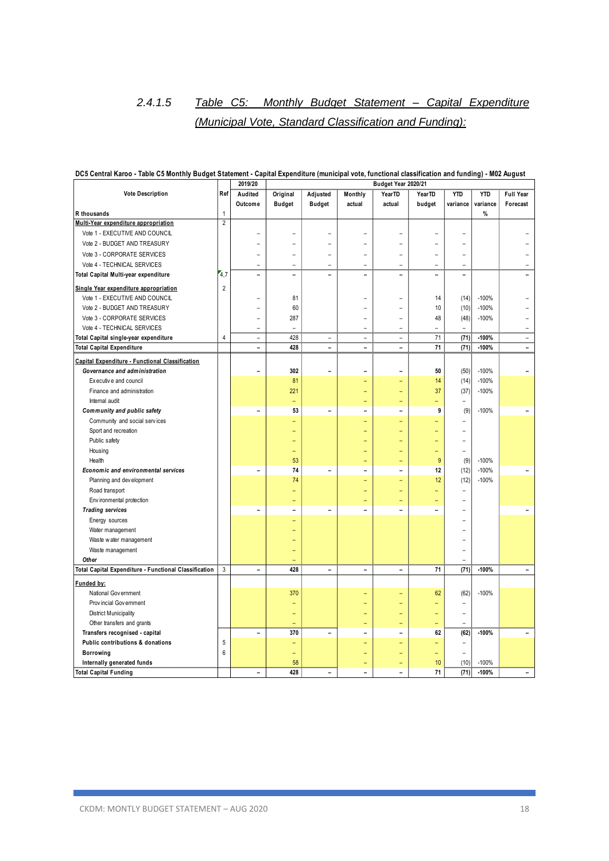# *2.4.1.5 Table C5: Monthly Budget Statement – Capital Expenditure (Municipal Vote, Standard Classification and Funding):*

|                                                       |                | 2019/20                  | Budget Year 2020/21      |                          |                          |                          |                          |                          |               |                          |
|-------------------------------------------------------|----------------|--------------------------|--------------------------|--------------------------|--------------------------|--------------------------|--------------------------|--------------------------|---------------|--------------------------|
| <b>Vote Description</b>                               | Ref            | Audited                  | Original                 | Adjusted                 | Monthly                  | YearTD                   | YearTD                   | <b>YTD</b>               | <b>YTD</b>    | <b>Full Year</b>         |
|                                                       |                | Outcome                  | <b>Budget</b>            | <b>Budget</b>            | actual                   | actual                   | budget                   | variance                 | variance      | Forecast                 |
| R thousands                                           | $\mathbf{1}$   |                          |                          |                          |                          |                          |                          |                          | $\frac{9}{6}$ |                          |
| Multi-Year expenditure appropriation                  | $\overline{2}$ |                          |                          |                          |                          |                          |                          |                          |               |                          |
| Vote 1 - EXECUTIVE AND COUNCIL                        |                |                          |                          |                          |                          |                          |                          |                          |               |                          |
| Vote 2 - BUDGET AND TREASURY                          |                |                          |                          |                          |                          |                          |                          |                          |               |                          |
| Vote 3 - CORPORATE SERVICES                           |                |                          |                          |                          | $\equiv$                 | $\overline{\phantom{0}}$ | ÷                        | $\blacksquare$           |               |                          |
| Vote 4 - TECHNICAL SERVICES                           |                |                          |                          |                          |                          |                          |                          | $\overline{a}$           |               |                          |
| Total Capital Multi-year expenditure                  | 4,7            | $\overline{\phantom{0}}$ | $\overline{\phantom{0}}$ | $\overline{a}$           | $\overline{a}$           | $\overline{\phantom{0}}$ | $\overline{\phantom{0}}$ | $\overline{a}$           |               |                          |
| Single Year expenditure appropriation                 | $\overline{2}$ |                          |                          |                          |                          |                          |                          |                          |               |                          |
| Vote 1 - EXECUTIVE AND COUNCIL                        |                |                          | 81                       |                          |                          |                          | 14                       | (14)                     | $-100%$       |                          |
| Vote 2 - BUDGET AND TREASURY                          |                |                          | 60                       |                          |                          |                          | 10                       | (10)                     | $-100%$       |                          |
| Vote 3 - CORPORATE SERVICES                           |                |                          | 287                      |                          |                          |                          | 48                       | (48)                     | $-100%$       |                          |
| Vote 4 - TECHNICAL SERVICES                           |                | ÷                        |                          |                          | $\overline{\phantom{0}}$ | ۳                        |                          |                          |               |                          |
| Total Capital single-year expenditure                 | $\overline{4}$ | $\equiv$                 | 428                      | ÷                        | ÷                        | $\equiv$                 | 71                       | (71)                     | $-100%$       | $\equiv$                 |
| <b>Total Capital Expenditure</b>                      |                | $\overline{\phantom{0}}$ | 428                      | $\overline{a}$           | $\overline{a}$           | $\overline{\phantom{0}}$ | 71                       | (71)                     | $-100%$       | $\overline{\phantom{0}}$ |
| Capital Expenditure - Functional Classification       |                |                          |                          |                          |                          |                          |                          |                          |               |                          |
| Governance and administration                         |                | $\overline{a}$           | 302                      | $\overline{a}$           | $\overline{a}$           | $\overline{a}$           | 50                       | (50)                     | $-100%$       |                          |
| Executive and council                                 |                |                          | 81                       |                          |                          | L,                       | 14                       | (14)                     | $-100%$       |                          |
| Finance and administration                            |                |                          | 221                      |                          |                          | ۳                        | 37                       | (37)                     | $-100%$       |                          |
| Internal audit                                        |                |                          |                          |                          | ۳                        | ۳                        |                          | ٠                        |               |                          |
| Community and public safety                           |                | $\overline{\phantom{0}}$ | 53                       | $\overline{\phantom{a}}$ | $\overline{a}$           | $\overline{\phantom{0}}$ | 9                        | (9)                      | $-100%$       |                          |
| Community and social services                         |                |                          | -                        |                          |                          | ÷                        |                          | ٠                        |               |                          |
| Sport and recreation                                  |                |                          |                          |                          |                          | ÷                        |                          | ÷                        |               |                          |
| Public safety                                         |                |                          | -                        |                          |                          | ÷                        | -                        | $\equiv$                 |               |                          |
| Housing                                               |                |                          | ۳                        |                          |                          |                          |                          | $\equiv$                 |               |                          |
| Health                                                |                |                          | 53                       |                          |                          | $\equiv$                 | 9                        | (9)                      | $-100%$       |                          |
| Economic and environmental services                   |                | $\overline{a}$           | 74                       | $\overline{\phantom{0}}$ |                          | $\overline{\phantom{0}}$ | 12                       | (12)                     | $-100%$       |                          |
| Planning and development                              |                |                          | 74                       |                          | ۳                        | $\equiv$                 | 12                       | (12)                     | $-100%$       |                          |
| Road transport                                        |                |                          |                          |                          |                          | ۳                        |                          | $\overline{\phantom{a}}$ |               |                          |
| Env ironmental protection                             |                |                          |                          |                          |                          | ۳                        |                          |                          |               |                          |
| <b>Trading services</b>                               |                | $\overline{a}$           | $\overline{a}$           | $\overline{\phantom{a}}$ |                          |                          | $\overline{a}$           |                          |               |                          |
| Energy sources                                        |                |                          |                          |                          |                          |                          |                          |                          |               |                          |
| Water management                                      |                |                          |                          |                          |                          |                          |                          |                          |               |                          |
| Waste water management                                |                |                          |                          |                          |                          |                          |                          |                          |               |                          |
| Waste management                                      |                |                          |                          |                          |                          |                          |                          |                          |               |                          |
| Other                                                 |                |                          |                          |                          |                          |                          |                          | $\overline{a}$           |               |                          |
| Total Capital Expenditure - Functional Classification | 3              | $\overline{\phantom{a}}$ | 428                      | $\overline{\phantom{0}}$ | $\overline{\phantom{a}}$ | $\overline{\phantom{a}}$ | 71                       | (71)                     | $-100%$       | $\overline{\phantom{0}}$ |
| Funded by:                                            |                |                          |                          |                          |                          |                          |                          |                          |               |                          |
| National Government                                   |                |                          | 370                      |                          |                          |                          | 62                       | (62)                     | $-100%$       |                          |
| Provincial Government                                 |                |                          |                          |                          |                          |                          |                          | $\equiv$                 |               |                          |
| <b>District Municipality</b>                          |                |                          | $=$                      |                          |                          | ÷                        |                          | $\equiv$                 |               |                          |
| Other transfers and grants                            |                |                          | $=$                      |                          | ۳                        | Ξ                        | ۳                        | $\equiv$                 |               |                          |
| Transfers recognised - capital                        |                | $\overline{a}$           | 370                      | $\overline{a}$           | $\overline{\phantom{0}}$ | $\overline{\phantom{0}}$ | 62                       | (62)                     | $-100%$       | $\overline{a}$           |
| Public contributions & donations                      | $\sqrt{5}$     |                          | ۳                        |                          |                          | ÷                        |                          | ٠                        |               |                          |
| <b>Borrowing</b>                                      | 6              |                          | $=$                      |                          |                          | ÷                        |                          | $\equiv$                 |               |                          |
| Internally generated funds                            |                |                          | 58                       |                          |                          | $\equiv$                 | 10                       | (10)                     | $-100%$       |                          |
| <b>Total Capital Funding</b>                          |                | $\overline{\phantom{0}}$ | 428                      | $\overline{\phantom{0}}$ | $\overline{a}$           | $\overline{a}$           | 71                       | (71)                     | $-100%$       | $\overline{\phantom{a}}$ |

#### **DC5 Central Karoo - Table C5 Monthly Budget Statement - Capital Expenditure (municipal vote, functional classification and funding) - M02 August**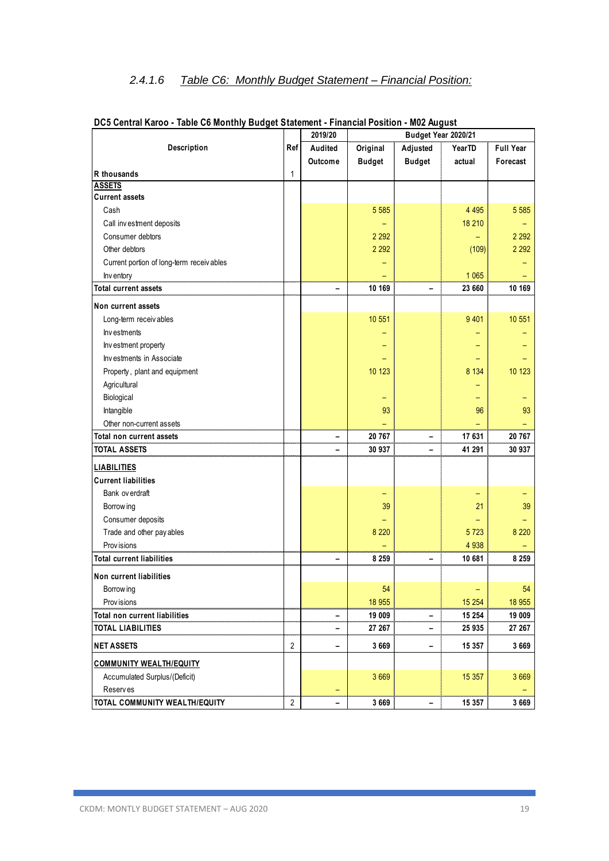# *2.4.1.6 Table C6: Monthly Budget Statement – Financial Position:*

|                                           |                | 2019/20 |                  | Budget Year 2020/21 |         |                  |
|-------------------------------------------|----------------|---------|------------------|---------------------|---------|------------------|
| <b>Description</b>                        | Ref            | Audited | Original         | Adjusted            | YearTD  | <b>Full Year</b> |
|                                           |                | Outcome | <b>Budget</b>    | <b>Budget</b>       | actual  | Forecast         |
| R thousands                               | $\mathbf{1}$   |         |                  |                     |         |                  |
| <b>ASSETS</b>                             |                |         |                  |                     |         |                  |
| <b>Current assets</b>                     |                |         |                  |                     |         |                  |
| Cash                                      |                |         | 5 5 8 5          |                     | 4 4 9 5 | 5 5 8 5          |
| Call investment deposits                  |                |         |                  |                     | 18 210  |                  |
| Consumer debtors                          |                |         | 2 2 9 2          |                     |         | 2 2 9 2          |
| Other debtors                             |                |         | 2 2 9 2          |                     | (109)   | 2 2 9 2          |
| Current portion of long-term receiv ables |                |         |                  |                     |         |                  |
| Inv entory                                |                |         |                  |                     | 1 0 6 5 |                  |
| <b>Total current assets</b>               |                |         | 10 169           |                     | 23 660  | 10 169           |
| Non current assets                        |                |         |                  |                     |         |                  |
| Long-term receivables                     |                |         | 10 551           |                     | 9 4 0 1 | 10 551           |
| Investments                               |                |         |                  |                     |         |                  |
| Investment property                       |                |         |                  |                     |         |                  |
| Investments in Associate                  |                |         |                  |                     |         |                  |
| Property, plant and equipment             |                |         | 10 123           |                     | 8 1 3 4 | 10 123           |
| Agricultural                              |                |         |                  |                     |         |                  |
| Biological                                |                |         |                  |                     |         |                  |
| Intangible                                |                |         | 93               |                     | 96      | 93               |
| Other non-current assets                  |                |         |                  |                     |         |                  |
| Total non current assets                  |                | -       | 20 767           | -                   | 17 631  | 20 767           |
| <b>TOTAL ASSETS</b>                       |                |         | 30 937           |                     | 41 291  | 30 937           |
| <b>LIABILITIES</b>                        |                |         |                  |                     |         |                  |
| <b>Current liabilities</b>                |                |         |                  |                     |         |                  |
| Bank ov erdraft                           |                |         |                  |                     |         |                  |
| Borrow ing                                |                |         | 39               |                     | 21      | 39               |
| Consumer deposits                         |                |         |                  |                     |         |                  |
| Trade and other pay ables                 |                |         | 8 2 2 0          |                     | 5723    | 8 2 2 0          |
| Prov isions                               |                |         |                  |                     | 4 9 38  |                  |
| <b>Total current liabilities</b>          |                |         | 8 2 5 9          |                     | 10 681  | 8 2 5 9          |
| Non current liabilities                   |                |         |                  |                     |         |                  |
|                                           |                |         | 54               |                     |         | 54               |
| Borrow ing<br>Prov isions                 |                |         |                  |                     | 15 254  | 18 955           |
| Total non current liabilities             |                |         | 18 955<br>19 009 |                     | 15 254  | 19 009           |
| <b>TOTAL LIABILITIES</b>                  |                | -       | 27 267           | -                   | 25 935  | 27 267           |
|                                           |                |         |                  | -                   |         |                  |
| <b>NET ASSETS</b>                         | $\overline{2}$ | -       | 3 6 6 9          | -                   | 15 357  | 3 6 6 9          |
| <b>COMMUNITY WEALTH/EQUITY</b>            |                |         |                  |                     |         |                  |
| Accumulated Surplus/(Deficit)             |                |         | 3 6 6 9          |                     | 15 357  | 3 6 6 9          |
| Reserves                                  |                |         |                  |                     |         |                  |
| TOTAL COMMUNITY WEALTH/EQUITY             | $\overline{2}$ |         | 3 6 6 9          |                     | 15 357  | 3 6 6 9          |

| DC5 Central Karoo - Table C6 Monthly Budget Statement - Financial Position - M02 August |  |  |
|-----------------------------------------------------------------------------------------|--|--|
|-----------------------------------------------------------------------------------------|--|--|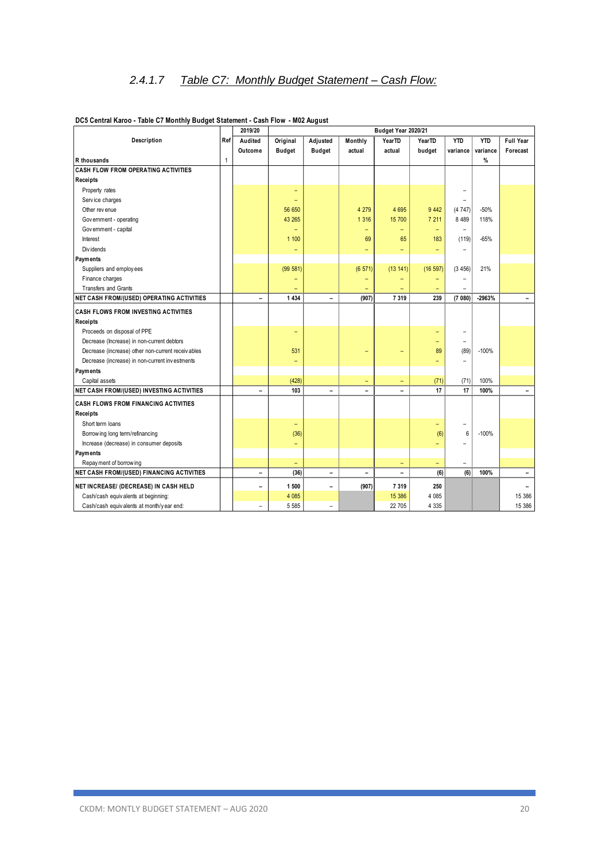|                                                   |              | 2019/20                  |                          |                          | Budget Year 2020/21      |                          |         |                          |            |                          |
|---------------------------------------------------|--------------|--------------------------|--------------------------|--------------------------|--------------------------|--------------------------|---------|--------------------------|------------|--------------------------|
| Description                                       | Ref          | Audited                  | Original                 | Adjusted                 | Monthly                  | YearTD                   | YearTD  | <b>YTD</b>               | <b>YTD</b> | <b>Full Year</b>         |
|                                                   |              | Outcome                  | <b>Budget</b>            | <b>Budget</b>            | actual                   | actual                   | budget  | variance                 | variance   | Forecast                 |
| R thousands                                       | $\mathbf{1}$ |                          |                          |                          |                          |                          |         |                          | %          |                          |
| <b>CASH FLOW FROM OPERATING ACTIVITIES</b>        |              |                          |                          |                          |                          |                          |         |                          |            |                          |
| Receipts                                          |              |                          |                          |                          |                          |                          |         |                          |            |                          |
| Property rates                                    |              |                          | $\qquad \qquad -$        |                          |                          |                          |         |                          |            |                          |
| Service charges                                   |              |                          | ÷                        |                          |                          |                          |         | $\equiv$                 |            |                          |
| Other rev enue                                    |              |                          | 56 650                   |                          | 4 2 7 9                  | 4 6 9 5                  | 9 4 4 2 | (4747)                   | $-50%$     |                          |
| Government - operating                            |              |                          | 43 265                   |                          | 1 3 1 6                  | 15 700                   | 7 211   | 8 4 8 9                  | 118%       |                          |
| Government - capital                              |              |                          | -                        |                          | $\overline{\phantom{0}}$ | $\overline{\phantom{0}}$ | -       |                          |            |                          |
| Interest                                          |              |                          | 1 100                    |                          | 69                       | 65                       | 183     | (119)                    | $-65%$     |                          |
| Div idends                                        |              |                          | $\overline{\phantom{a}}$ |                          |                          |                          | ۳       |                          |            |                          |
| Payments                                          |              |                          |                          |                          |                          |                          |         |                          |            |                          |
| Suppliers and employees                           |              |                          | (99 581)                 |                          | (6 571)                  | (13141)                  | (16597) | (3456)                   | 21%        |                          |
| Finance charges                                   |              |                          | -                        |                          |                          |                          |         |                          |            |                          |
| <b>Transfers and Grants</b>                       |              |                          |                          |                          |                          |                          |         |                          |            |                          |
| NET CASH FROM/(USED) OPERATING ACTIVITIES         |              | $\qquad \qquad -$        | 1 4 3 4                  | Ξ.                       | (907)                    | 7 3 1 9                  | 239     | (7080)                   | $-2963%$   |                          |
| <b>CASH FLOWS FROM INVESTING ACTIVITIES</b>       |              |                          |                          |                          |                          |                          |         |                          |            |                          |
| Receipts                                          |              |                          |                          |                          |                          |                          |         |                          |            |                          |
| Proceeds on disposal of PPE                       |              |                          | $\qquad \qquad -$        |                          |                          |                          |         |                          |            |                          |
| Decrease (Increase) in non-current debtors        |              |                          |                          |                          |                          |                          | ۳       |                          |            |                          |
| Decrease (increase) other non-current receivables |              |                          | 531                      |                          |                          |                          | 89      | (89)                     | $-100%$    |                          |
| Decrease (increase) in non-current investments    |              |                          | ۰                        |                          |                          |                          | =       |                          |            |                          |
| Payments                                          |              |                          |                          |                          |                          |                          |         |                          |            |                          |
| Capital assets                                    |              |                          | (428)                    |                          | ۳                        | $\qquad \qquad -$        | (71)    | (71)                     | 100%       |                          |
| NET CASH FROM/(USED) INVESTING ACTIVITIES         |              | $\overline{a}$           | 103                      | $\overline{a}$           | ۰                        | $\overline{a}$           | 17      | 17                       | 100%       | $\overline{\phantom{0}}$ |
| <b>CASH FLOWS FROM FINANCING ACTIVITIES</b>       |              |                          |                          |                          |                          |                          |         |                          |            |                          |
| <b>Receipts</b>                                   |              |                          |                          |                          |                          |                          |         |                          |            |                          |
| Short term loans                                  |              |                          | $\overline{\phantom{a}}$ |                          |                          |                          | ۳       | $\overline{ }$           |            |                          |
| Borrow ing long term/refinancing                  |              |                          | (36)                     |                          |                          |                          | (6)     | 6                        | $-100%$    |                          |
| Increase (decrease) in consumer deposits          |              |                          | -                        |                          |                          |                          |         |                          |            |                          |
| Payments                                          |              |                          |                          |                          |                          |                          |         |                          |            |                          |
| Repay ment of borrowing                           |              |                          | -                        |                          |                          | $\overline{\phantom{a}}$ | -       | $\overline{\phantom{0}}$ |            |                          |
| <b>NET CASH FROM/(USED) FINANCING ACTIVITIES</b>  |              | $\qquad \qquad -$        | (36)                     | $\overline{\phantom{0}}$ | ۰                        | $\overline{a}$           | (6)     | (6)                      | 100%       | $\qquad \qquad -$        |
| NET INCREASE/ (DECREASE) IN CASH HELD             |              | $\overline{\phantom{0}}$ | 1 500                    | $\overline{\phantom{0}}$ | (907)                    | 7 3 1 9                  | 250     |                          |            |                          |
| Cash/cash equivalents at beginning:               |              |                          | 4 0 8 5                  |                          |                          | 15 386                   | 4 0 8 5 |                          |            | 15 386                   |
| Cash/cash equivalents at month/y ear end:         |              | $\rightarrow$            | 5 5 8 5                  | $\equiv$                 |                          | 22 705                   | 4 3 3 5 |                          |            | 15 386                   |
|                                                   |              |                          |                          |                          |                          |                          |         |                          |            |                          |

#### **DC5 Central Karoo - Table C7 Monthly Budget Statement - Cash Flow - M02 August**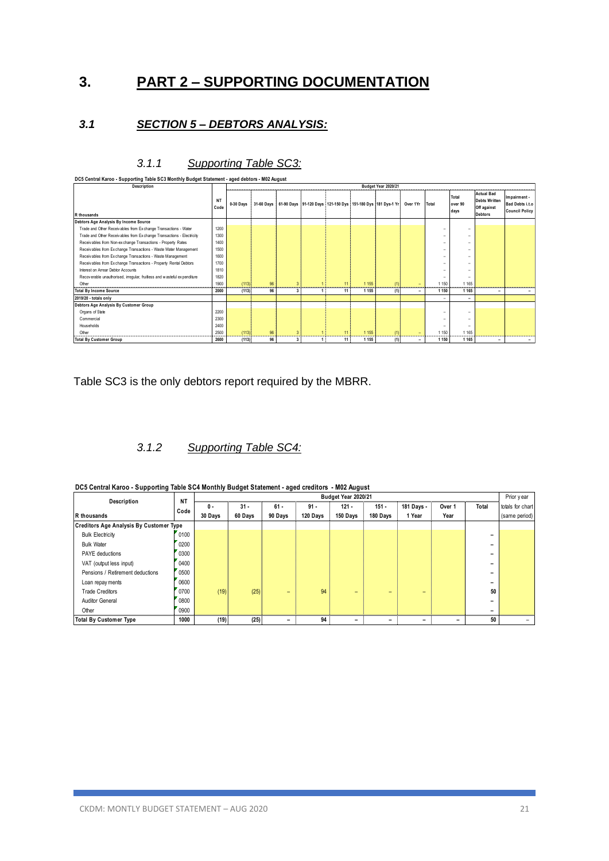# **3. PART 2 – SUPPORTING DOCUMENTATION**

### *3.1 SECTION 5 – DEBTORS ANALYSIS:*

| DC5 Central Karoo - Supporting Table SC3 Monthly Budget Statement - aged debtors - M02 August |                   |             |                     |                         |  |    |         |                                                                                 |                          |                          |                          |                                                          |                                                          |
|-----------------------------------------------------------------------------------------------|-------------------|-------------|---------------------|-------------------------|--|----|---------|---------------------------------------------------------------------------------|--------------------------|--------------------------|--------------------------|----------------------------------------------------------|----------------------------------------------------------|
| Description                                                                                   |                   |             | Budget Year 2020/21 |                         |  |    |         |                                                                                 |                          |                          |                          |                                                          |                                                          |
|                                                                                               | <b>NT</b><br>Code | $0-30$ Days |                     |                         |  |    |         | 31-60 Days 61-90 Days 91-120 Days 121-150 Dys 151-180 Dys 181 Dys-1 Yr Over 1Yr |                          | Total                    | Total<br>over 90<br>days | <b>Actual Bad</b><br><b>Debts Written</b><br>Off against | Impairment -<br>Bad Debts i.t.o<br><b>Council Policy</b> |
| R thousands                                                                                   |                   |             |                     |                         |  |    |         |                                                                                 |                          |                          |                          | <b>Debtors</b>                                           |                                                          |
| Debtors Age Analysis By Income Source                                                         |                   |             |                     |                         |  |    |         |                                                                                 |                          |                          |                          |                                                          |                                                          |
| Trade and Other Receivables from Exchange Transactions - Water                                | 1200              |             |                     |                         |  |    |         |                                                                                 |                          | $\overline{\phantom{a}}$ | ۰                        |                                                          |                                                          |
| Trade and Other Receivables from Exchange Transactions - Electricity                          | 1300              |             |                     |                         |  |    |         |                                                                                 |                          | $\overline{\phantom{a}}$ | -                        |                                                          |                                                          |
| Receivables from Non-exchange Transactions - Property Rates                                   | 1400              |             |                     |                         |  |    |         |                                                                                 |                          | $\overline{\phantom{a}}$ | -                        |                                                          |                                                          |
| Receivables from Exchange Transactions - Waste Water Management                               | 1500              |             |                     |                         |  |    |         |                                                                                 |                          | -                        |                          |                                                          |                                                          |
| Receivables from Exchange Transactions - Waste Management                                     | 1600              |             |                     |                         |  |    |         |                                                                                 |                          | $\overline{\phantom{a}}$ | -                        |                                                          |                                                          |
| Receivables from Exchange Transactions - Property Rental Debtors                              | 1700              |             |                     |                         |  |    |         |                                                                                 |                          | $\overline{\phantom{a}}$ | -                        |                                                          |                                                          |
| Interest on Arrear Debtor Accounts                                                            | 1810              |             |                     |                         |  |    |         |                                                                                 |                          | -                        | -                        |                                                          |                                                          |
| Recoverable unauthorised, irregular, fruitless and wasteful expenditure                       | 1820              |             |                     |                         |  |    |         |                                                                                 |                          | $\overline{\phantom{a}}$ | ۰                        |                                                          |                                                          |
| Other                                                                                         | 1900              | (113)       | 96                  | 3                       |  | 11 | 1 1 5 5 | (1)                                                                             | $\overline{\phantom{0}}$ | 1 1 5 0                  | 1 1 6 5                  |                                                          |                                                          |
| <b>Total By Income Source</b>                                                                 | 2000              | (113)       | 96                  | 3                       |  | 11 | 1 1 5 5 | (1)                                                                             | -                        | 1 1 5 0                  | 1 1 6 5                  | $\overline{\phantom{a}}$                                 |                                                          |
| 2019/20 - totals only                                                                         |                   |             |                     |                         |  |    |         |                                                                                 |                          |                          |                          |                                                          |                                                          |
| Debtors Age Analysis By Customer Group                                                        |                   |             |                     |                         |  |    |         |                                                                                 |                          |                          |                          |                                                          |                                                          |
| Organs of State                                                                               | 2200              |             |                     |                         |  |    |         |                                                                                 |                          | -                        | -                        |                                                          |                                                          |
| Commercial                                                                                    | 2300              |             |                     |                         |  |    |         |                                                                                 |                          | -                        | ۰                        |                                                          |                                                          |
| Households                                                                                    | 2400              |             |                     |                         |  |    |         |                                                                                 |                          | -                        | -                        |                                                          |                                                          |
| Other                                                                                         | 2500              | (113)       | 96                  | 3                       |  | 11 | 1 1 5 5 | (1)                                                                             | -                        | 1 1 5 0                  | 1 1 6 5                  |                                                          |                                                          |
| <b>Total By Customer Group</b>                                                                | 2600              | (113)       | 96                  | $\overline{\mathbf{3}}$ |  | 11 | 1 1 5 5 | (1)                                                                             | $\overline{\phantom{a}}$ | 1 1 5 0                  | 1 1 6 5                  | $\overline{\phantom{a}}$                                 |                                                          |

# *3.1.1 Supporting Table SC3:*

Table SC3 is the only debtors report required by the MBRR.

# *3.1.2 Supporting Table SC4:*

| DC5 Central Karoo - Supporting Table SC4 Monthly Budget Statement - aged creditors - M02 August |  |  |  |
|-------------------------------------------------------------------------------------------------|--|--|--|
|                                                                                                 |  |  |  |

| DC5 Central Karoo - Supporting Table SC4 Monthly Budget Statement - aged creditors - M02 August<br>Budget Year 2020/21 |                   |                |                   |                   |                    |                     |                     |                      |                |                          |                                                 |
|------------------------------------------------------------------------------------------------------------------------|-------------------|----------------|-------------------|-------------------|--------------------|---------------------|---------------------|----------------------|----------------|--------------------------|-------------------------------------------------|
| Description<br>R thousands                                                                                             | <b>NT</b><br>Code | 0 -<br>30 Days | $31 -$<br>60 Days | $61 -$<br>90 Days | $91 -$<br>120 Days | $121 -$<br>150 Days | $151 -$<br>180 Days | 181 Days -<br>1 Year | Over 1<br>Year | Total                    | Prior year<br>totals for chart<br>(same period) |
| <b>Creditors Age Analysis By Customer Type</b>                                                                         |                   |                |                   |                   |                    |                     |                     |                      |                |                          |                                                 |
| <b>Bulk Electricity</b>                                                                                                | 0100              |                |                   |                   |                    |                     |                     |                      |                | $\overline{\phantom{0}}$ |                                                 |
| <b>Bulk Water</b>                                                                                                      | 0200              |                |                   |                   |                    |                     |                     |                      |                | -                        |                                                 |
| <b>PAYE</b> deductions                                                                                                 | 0300              |                |                   |                   |                    |                     |                     |                      |                |                          |                                                 |
| VAT (output less input)                                                                                                | 0400              |                |                   |                   |                    |                     |                     |                      |                |                          |                                                 |
| Pensions / Retirement deductions                                                                                       | 0500              |                |                   |                   |                    |                     |                     |                      |                | -                        |                                                 |
| Loan repay ments                                                                                                       | 0600              |                |                   |                   |                    |                     |                     |                      |                | $\overline{\phantom{0}}$ |                                                 |
| <b>Trade Creditors</b>                                                                                                 | 0700              | (19)           | (25)              | -                 | 94                 | -                   | -                   | -                    |                | 50                       |                                                 |
| <b>Auditor General</b>                                                                                                 | 0800              |                |                   |                   |                    |                     |                     |                      |                | $\overline{\phantom{0}}$ |                                                 |
| Other                                                                                                                  | 0900              |                |                   |                   |                    |                     |                     |                      |                |                          |                                                 |
| <b>Total By Customer Type</b>                                                                                          | 1000              | (19)           | (25)              |                   | 94                 |                     |                     |                      |                | 50                       |                                                 |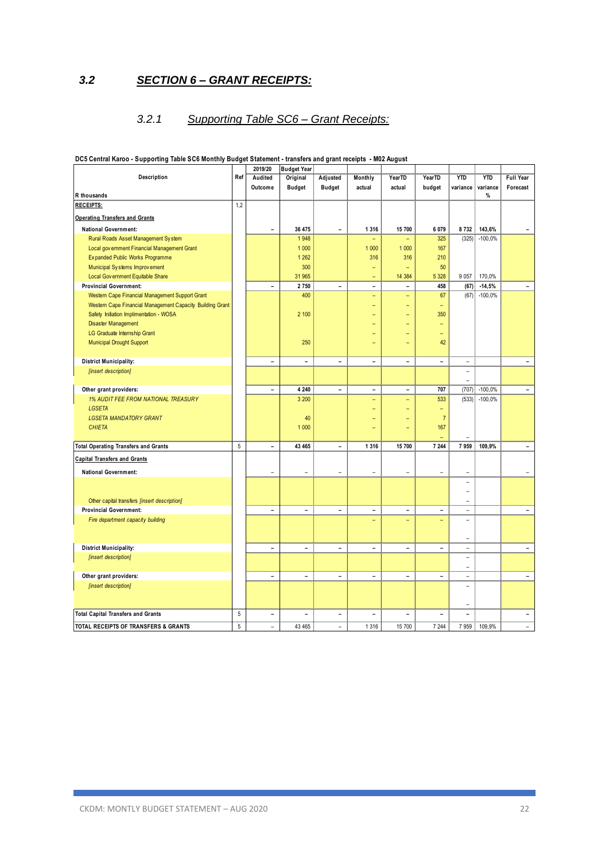# *3.2 SECTION 6 – GRANT RECEIPTS:*

# *3.2.1 Supporting Table SC6 – Grant Receipts:*

|                                                           |     | 2019/20                      | <b>Budget Year</b>       |                              |                          |                          |                          |                          |            |                          |
|-----------------------------------------------------------|-----|------------------------------|--------------------------|------------------------------|--------------------------|--------------------------|--------------------------|--------------------------|------------|--------------------------|
| Description                                               | Ref | Audited                      | Original                 | Adjusted                     | Monthly                  | YearTD                   | YearTD                   | <b>YTD</b>               | <b>YTD</b> | Full Year                |
|                                                           |     | Outcome                      | <b>Budget</b>            | <b>Budget</b>                | actual                   | actual                   | budget                   | variance                 | variance   | Forecast                 |
| R thousands                                               |     |                              |                          |                              |                          |                          |                          |                          | %          |                          |
| <b>RECEIPTS:</b>                                          | 1,2 |                              |                          |                              |                          |                          |                          |                          |            |                          |
| <b>Operating Transfers and Grants</b>                     |     |                              |                          |                              |                          |                          |                          |                          |            |                          |
| <b>National Government:</b>                               |     | $\blacksquare$               | 36 475                   | $\overline{\phantom{a}}$     | 1 3 1 6                  | 15 700                   | 6 0 7 9                  | 8732                     | 143,6%     |                          |
| Rural Roads Asset Management System                       |     |                              | 1948                     |                              |                          |                          | 325                      | (325)                    | $-100,0%$  |                          |
| Local government Financial Management Grant               |     |                              | 1 0 0 0                  |                              | 1 000                    | 1 0 0 0                  | 167                      |                          |            |                          |
| Expanded Public Works Programme                           |     |                              | 1 2 6 2                  |                              | 316                      | 316                      | 210                      |                          |            |                          |
| Municipal Systems Improvement                             |     |                              | 300                      |                              |                          | ÷                        | 50                       |                          |            |                          |
| Local Government Equitable Share                          |     |                              | 31 965                   |                              | ۳                        | 14 3 84                  | 5 3 28                   | 9 0 5 7                  | 170,0%     |                          |
| <b>Provincial Government:</b>                             |     | $\blacksquare$               | 2750                     | $\overline{a}$               | $\overline{\phantom{0}}$ | $\equiv$                 | 458                      | (67)                     | $-14,5%$   | $\blacksquare$           |
| Western Cape Financial Management Support Grant           |     |                              | 400                      |                              | ۳                        | $\equiv$                 | 67                       | (67)                     | $-100,0%$  |                          |
| Western Cape Financial Management Capacity Building Grant |     |                              |                          |                              | Ξ                        | $\overline{a}$           | ÷                        |                          |            |                          |
| Safety Initiation Implimentation - WOSA                   |     |                              | 2 100                    |                              |                          |                          | 350                      |                          |            |                          |
|                                                           |     |                              |                          |                              |                          |                          |                          |                          |            |                          |
| <b>Disaster Management</b>                                |     |                              |                          |                              |                          |                          |                          |                          |            |                          |
| LG Graduate Internship Grant                              |     |                              | 250                      |                              | ۳                        |                          | ۰<br>42                  |                          |            |                          |
| <b>Municipal Drought Support</b>                          |     |                              |                          |                              |                          |                          |                          |                          |            |                          |
|                                                           |     |                              |                          |                              |                          |                          |                          |                          |            |                          |
| <b>District Municipality:</b>                             |     | $\overline{\phantom{a}}$     | $\overline{\phantom{0}}$ | $\overline{\phantom{a}}$     | ۰                        | $\overline{\phantom{a}}$ | $\overline{\phantom{m}}$ | $\bar{a}$<br>$\equiv$    |            | $\overline{\phantom{a}}$ |
| [insert description]                                      |     |                              |                          |                              |                          |                          |                          | $\sim$                   |            |                          |
| Other grant providers:                                    |     | $\blacksquare$               | 4 2 4 0                  | $\blacksquare$               | $\blacksquare$           | ۰                        | 707                      | (707)                    | $-100,0%$  | $\overline{\phantom{a}}$ |
| 1% AUDIT FEE FROM NATIONAL TREASURY                       |     |                              | 3 200                    |                              | ۳                        | Ξ                        | 533                      | (533)                    | $-100,0%$  |                          |
| <b>LGSETA</b>                                             |     |                              |                          |                              |                          |                          | ۳                        |                          |            |                          |
| <b>LGSETA MANDATORY GRANT</b>                             |     |                              | 40                       |                              |                          |                          | $\overline{7}$           |                          |            |                          |
| <b>CHIETA</b>                                             |     |                              | 1 0 0 0                  |                              |                          |                          | 167                      |                          |            |                          |
|                                                           |     |                              |                          |                              |                          |                          |                          |                          |            |                          |
| <b>Total Operating Transfers and Grants</b>               | 5   | $\blacksquare$               | 43 465                   | $\overline{\phantom{a}}$     | 1 3 1 6                  | 15700                    | 7 244                    | 7959                     | 109,9%     |                          |
| <b>Capital Transfers and Grants</b>                       |     |                              |                          |                              |                          |                          |                          |                          |            |                          |
|                                                           |     |                              |                          |                              |                          |                          |                          |                          |            |                          |
| <b>National Government:</b>                               |     | $\overline{a}$               | L.                       | L.                           | L.                       | L.                       | ÷                        | ÷                        |            | ÷                        |
|                                                           |     |                              |                          |                              |                          |                          |                          | ۰                        |            |                          |
|                                                           |     |                              |                          |                              |                          |                          |                          | ۰                        |            |                          |
| Other capital transfers [insert description]              |     |                              |                          |                              |                          |                          |                          | $\equiv$                 |            |                          |
| <b>Provincial Government:</b>                             |     | $\blacksquare$               | ÷                        | $\overline{\phantom{0}}$     | $\blacksquare$           | $\blacksquare$           | $\blacksquare$           | $\overline{\phantom{a}}$ |            | $\sim$                   |
| Fire department capacity building                         |     |                              |                          |                              |                          | $\overline{a}$           |                          | ۳                        |            |                          |
|                                                           |     |                              |                          |                              |                          |                          |                          |                          |            |                          |
|                                                           |     |                              |                          |                              |                          |                          |                          | ۳                        |            |                          |
| <b>District Municipality:</b>                             |     | $\qquad \qquad \blacksquare$ | ÷                        | $\overline{\phantom{0}}$     | ÷,                       | ÷                        | $\overline{\phantom{0}}$ | ÷                        |            | $\blacksquare$           |
| [insert description]                                      |     |                              |                          |                              |                          |                          |                          | $\overline{\phantom{a}}$ |            |                          |
|                                                           |     |                              |                          |                              |                          |                          |                          | ÷.                       |            |                          |
| Other grant providers:                                    |     | $\blacksquare$               | ۳                        | $\overline{a}$               | ۳                        | $\equiv$                 | $\sim$                   | $\equiv$                 |            | $\equiv$                 |
| [insert description]                                      |     |                              |                          |                              |                          |                          |                          | $\overline{\phantom{a}}$ |            |                          |
|                                                           |     |                              |                          |                              |                          |                          |                          |                          |            |                          |
|                                                           |     |                              |                          |                              |                          |                          |                          | L,                       |            |                          |
| <b>Total Capital Transfers and Grants</b>                 | 5   | $\overline{\phantom{a}}$     | $\equiv$                 | $\qquad \qquad \blacksquare$ | $\overline{a}$           | $\overline{\phantom{0}}$ | $\equiv$                 | $\overline{\phantom{0}}$ |            | $\blacksquare$           |
| TOTAL RECEIPTS OF TRANSFERS & GRANTS                      | 5   | L                            | 43 465                   | L                            | 1 3 1 6                  | 15 700                   | 7 2 4 4                  | 7959                     | 109.9%     |                          |

#### **DC5 Central Karoo - Supporting Table SC6 Monthly Budget Statement - transfers and grant receipts - M02 August**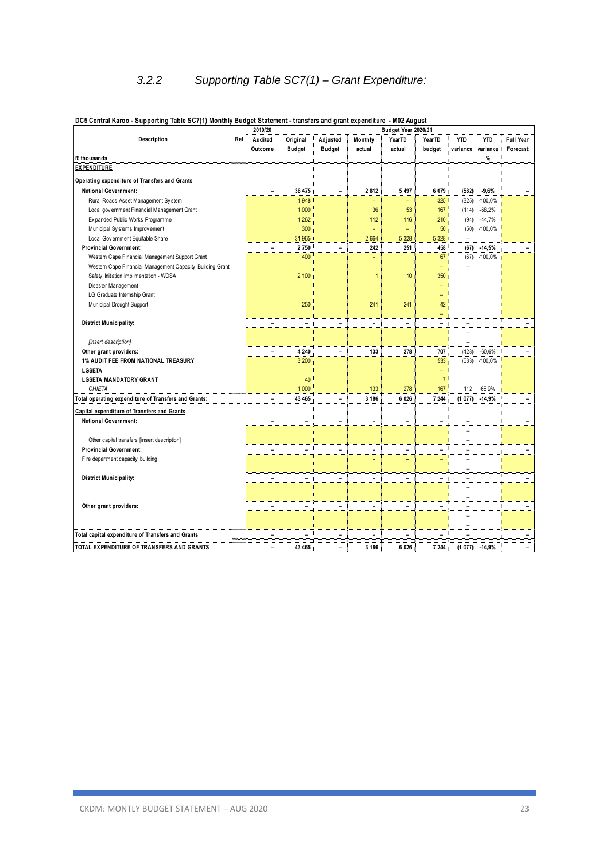# *3.2.2 Supporting Table SC7(1) – Grant Expenditure:*

|                                                           |     | 2019/20                      |               |                              |                          |                          | Budget Year 2020/21      |                          |                 |                          |  |  |
|-----------------------------------------------------------|-----|------------------------------|---------------|------------------------------|--------------------------|--------------------------|--------------------------|--------------------------|-----------------|--------------------------|--|--|
| Description                                               | Ref | Audited                      | Original      | Adjusted                     | Monthly                  | YearTD                   | YearTD                   | <b>YTD</b>               | <b>YTD</b>      | Full Year                |  |  |
|                                                           |     | Outcome                      | <b>Budget</b> | <b>Budget</b>                | actual                   | actual                   | budget                   | variance                 | variance        | Forecast                 |  |  |
| R thousands                                               |     |                              |               |                              |                          |                          |                          |                          | %               |                          |  |  |
| <b>EXPENDITURE</b>                                        |     |                              |               |                              |                          |                          |                          |                          |                 |                          |  |  |
| Operating expenditure of Transfers and Grants             |     |                              |               |                              |                          |                          |                          |                          |                 |                          |  |  |
| <b>National Government:</b>                               |     | $\qquad \qquad \blacksquare$ | 36 475        | $\overline{a}$               | 2812                     | 5 4 9 7                  | 6 0 7 9                  | (582)                    | $-9,6%$         | $\overline{\phantom{a}}$ |  |  |
| Rural Roads Asset Management System                       |     |                              | 1948          |                              |                          | -                        | 325                      | (325)                    | $-100,0%$       |                          |  |  |
| Local gov ernment Financial Management Grant              |     |                              | 1 0 0 0       |                              | 36                       | 53                       | 167                      | (114)                    | $-68,2%$        |                          |  |  |
| Expanded Public Works Programme                           |     |                              | 1 2 6 2       |                              | 112                      | 116                      | 210                      | (94)                     | $-44,7%$        |                          |  |  |
| Municipal Systems Improvement                             |     |                              | 300           |                              | $\overline{\phantom{0}}$ | ÷                        | 50                       | (50)                     | $-100,0%$       |                          |  |  |
| Local Gov ernment Equitable Share                         |     |                              | 31 965        |                              | 2 6 6 4                  | 5 3 28                   | 5 3 28                   |                          |                 |                          |  |  |
| <b>Provincial Government:</b>                             |     | $\blacksquare$               | 2750          | $\overline{a}$               | 242                      | 251                      | 458                      | (67)                     | $-14,5%$        |                          |  |  |
| Western Cape Financial Management Support Grant           |     |                              | 400           |                              |                          |                          | 67                       | (67)                     | $-100,0%$       |                          |  |  |
| Western Cape Financial Management Capacity Building Grant |     |                              |               |                              |                          |                          |                          |                          |                 |                          |  |  |
| Safety Initiation Implimentation - WOSA                   |     |                              | 2 100         |                              | 1                        | 10                       | 350                      |                          |                 |                          |  |  |
| Disaster Management                                       |     |                              |               |                              |                          |                          |                          |                          |                 |                          |  |  |
| LG Graduate Internship Grant                              |     |                              |               |                              |                          |                          | $\overline{\phantom{0}}$ |                          |                 |                          |  |  |
| Municipal Drought Support                                 |     |                              | 250           |                              | 241                      | 241                      | 42                       |                          |                 |                          |  |  |
|                                                           |     |                              |               |                              |                          |                          | $=$                      |                          |                 |                          |  |  |
| <b>District Municipality:</b>                             |     | $\overline{\phantom{0}}$     | ۳             | ÷                            | $\equiv$                 | $\overline{\phantom{0}}$ | $\equiv$                 | $\overline{\phantom{a}}$ |                 |                          |  |  |
|                                                           |     |                              |               |                              |                          |                          |                          | ۰                        |                 |                          |  |  |
| [insert description]                                      |     |                              |               |                              |                          |                          |                          | ÷                        |                 |                          |  |  |
| Other grant providers:                                    |     | $\blacksquare$               | 4 2 4 0       | $\overline{\phantom{0}}$     | 133                      | 278                      | 707                      | (428)                    | $-60,6%$        | ۳                        |  |  |
| <b>1% AUDIT FEE FROM NATIONAL TREASURY</b>                |     |                              | 3 200         |                              |                          |                          | 533                      | (533)                    | $-100,0%$       |                          |  |  |
| LGSETA                                                    |     |                              |               |                              |                          |                          | $\overline{\phantom{0}}$ |                          |                 |                          |  |  |
| <b>LGSETA MANDATORY GRANT</b>                             |     |                              | 40            |                              |                          |                          | $\overline{7}$           |                          |                 |                          |  |  |
| CHIETA                                                    |     |                              | 1 0 0 0       |                              | 133                      | 278                      | 167                      | 112                      | 66.9%           |                          |  |  |
| Total operating expenditure of Transfers and Grants:      |     | ٠                            | 43 465        | ÷                            | 3 186                    | 6 0 26                   | 7 244                    | (1077)                   | $-14,9%$        | ٠                        |  |  |
| Capital expenditure of Transfers and Grants               |     |                              |               |                              |                          |                          |                          |                          |                 |                          |  |  |
| <b>National Government:</b>                               |     | L.                           |               | ÷.                           |                          | $\overline{a}$           | ÷                        | ÷.                       |                 |                          |  |  |
|                                                           |     |                              |               |                              |                          |                          |                          | ۰                        |                 |                          |  |  |
| Other capital transfers [insert description]              |     |                              |               |                              |                          |                          |                          | $\overline{\phantom{a}}$ |                 |                          |  |  |
| <b>Provincial Government:</b>                             |     | $\blacksquare$               | ۳             | ÷                            | $\overline{\phantom{0}}$ | $\overline{\phantom{0}}$ | $\equiv$                 | ٠                        |                 | $\equiv$                 |  |  |
| Fire department capacity building                         |     |                              |               |                              |                          | -                        |                          | $\equiv$                 |                 |                          |  |  |
|                                                           |     |                              |               |                              |                          |                          |                          | $\overline{\phantom{a}}$ |                 |                          |  |  |
| <b>District Municipality:</b>                             |     | $\blacksquare$               | Ξ.            | $\overline{\phantom{0}}$     | $\overline{\phantom{0}}$ | $\overline{\phantom{0}}$ | $\equiv$                 | $\overline{\phantom{0}}$ |                 | $\blacksquare$           |  |  |
|                                                           |     |                              |               |                              |                          |                          |                          | ۰                        |                 |                          |  |  |
|                                                           |     |                              |               |                              |                          |                          |                          | $\overline{\phantom{a}}$ |                 |                          |  |  |
| Other grant providers:                                    |     | $\blacksquare$               | ۰             | $\blacksquare$               | $\overline{\phantom{0}}$ | $\overline{\phantom{0}}$ | $\equiv$                 | $\overline{\phantom{0}}$ |                 | $\overline{\phantom{a}}$ |  |  |
|                                                           |     |                              |               |                              |                          |                          |                          | $\overline{\phantom{a}}$ |                 |                          |  |  |
|                                                           |     |                              |               |                              |                          |                          |                          | $\overline{\phantom{a}}$ |                 |                          |  |  |
| Total capital expenditure of Transfers and Grants         |     | $\overline{\phantom{a}}$     | ۳             | $\qquad \qquad \blacksquare$ | $\overline{a}$           | $\overline{a}$           |                          | $\equiv$                 |                 | $\equiv$                 |  |  |
| TOTAL EXPENDITURE OF TRANSFERS AND GRANTS                 |     | $\blacksquare$               | 43 465        | $\blacksquare$               | 3 186                    | 6 0 26                   | 7 244                    |                          | $(1077)$ -14,9% |                          |  |  |

#### **DC5 Central Karoo - Supporting Table SC7(1) Monthly Budget Statement - transfers and grant expenditure - M02 August**